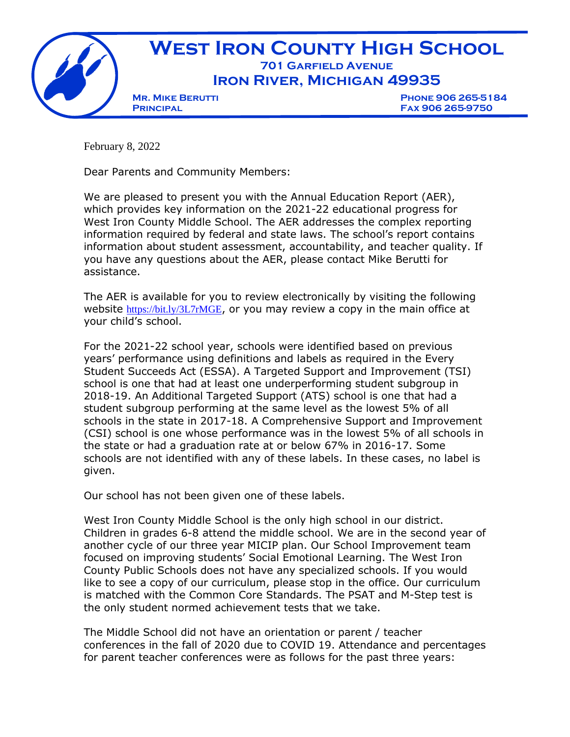

February 8, 2022

Dear Parents and Community Members:

We are pleased to present you with the Annual Education Report (AER), which provides key information on the 2021-22 educational progress for West Iron County Middle School. The AER addresses the complex reporting information required by federal and state laws. The school's report contains information about student assessment, accountability, and teacher quality. If you have any questions about the AER, please contact Mike Berutti for assistance.

The AER is available for you to review electronically by visiting the following website <https://bit.ly/3L7rMGE>, or you may review a copy in the main office at your child's school.

For the 2021-22 school year, schools were identified based on previous years' performance using definitions and labels as required in the Every Student Succeeds Act (ESSA). A Targeted Support and Improvement (TSI) school is one that had at least one underperforming student subgroup in 2018-19. An Additional Targeted Support (ATS) school is one that had a student subgroup performing at the same level as the lowest 5% of all schools in the state in 2017-18. A Comprehensive Support and Improvement (CSI) school is one whose performance was in the lowest 5% of all schools in the state or had a graduation rate at or below 67% in 2016-17. Some schools are not identified with any of these labels. In these cases, no label is given.

Our school has not been given one of these labels.

West Iron County Middle School is the only high school in our district. Children in grades 6-8 attend the middle school. We are in the second year of another cycle of our three year MICIP plan. Our School Improvement team focused on improving students' Social Emotional Learning. The West Iron County Public Schools does not have any specialized schools. If you would like to see a copy of our curriculum, please stop in the office. Our curriculum is matched with the Common Core Standards. The PSAT and M-Step test is the only student normed achievement tests that we take.

The Middle School did not have an orientation or parent / teacher conferences in the fall of 2020 due to COVID 19. Attendance and percentages for parent teacher conferences were as follows for the past three years: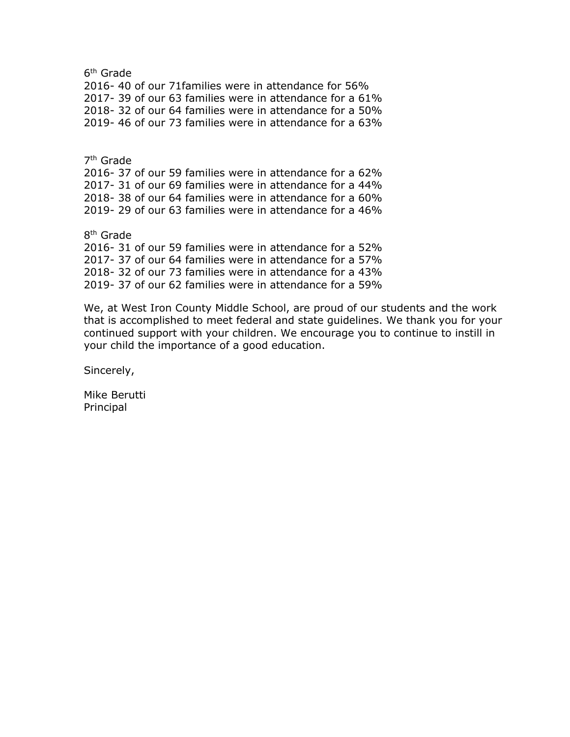6<sup>th</sup> Grade 2016- 40 of our 71families were in attendance for 56% 2017- 39 of our 63 families were in attendance for a 61% 2018- 32 of our 64 families were in attendance for a 50% 2019- 46 of our 73 families were in attendance for a 63%

7<sup>th</sup> Grade 2016- 37 of our 59 families were in attendance for a 62% 2017- 31 of our 69 families were in attendance for a 44% 2018- 38 of our 64 families were in attendance for a 60% 2019- 29 of our 63 families were in attendance for a 46%

8<sup>th</sup> Grade 2016- 31 of our 59 families were in attendance for a 52% 2017- 37 of our 64 families were in attendance for a 57% 2018- 32 of our 73 families were in attendance for a 43% 2019- 37 of our 62 families were in attendance for a 59%

We, at West Iron County Middle School, are proud of our students and the work that is accomplished to meet federal and state guidelines. We thank you for your continued support with your children. We encourage you to continue to instill in your child the importance of a good education.

Sincerely,

Mike Berutti Principal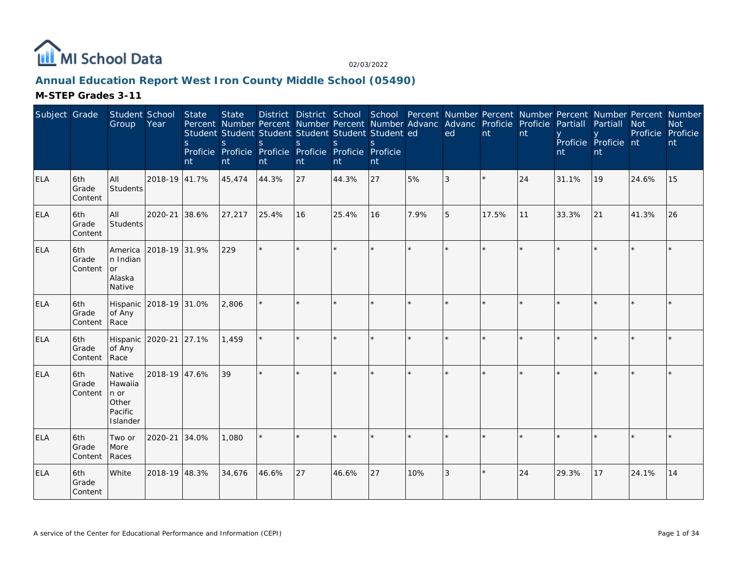

# **Annual Education Report West Iron County Middle School (05490)**

| Subject Grade |                         | Student School<br>Group                                               | Year                   | <b>State</b><br><sub>S</sub><br>nt | <b>State</b><br>S.<br>nt | Percent Number Percent Number Percent Number Advanc Advanc Proficie Proficie<br>Student Student Student Student Student Student ed<br>S.<br>Proficie Proficie Proficie Proficie Proficie Proficie<br>nt | <sub>S</sub><br>nt | <sup>S</sup><br>nt | <sub>S</sub><br>nt |         | District District School School Percent Number Percent Number Percent Number Percent Number<br>ed | nt    | nt | Partiall<br>nt | Partiall<br>Proficie Proficie nt<br>nt | <b>Not</b><br>Proficie Proficie | <b>Not</b><br>nt |
|---------------|-------------------------|-----------------------------------------------------------------------|------------------------|------------------------------------|--------------------------|---------------------------------------------------------------------------------------------------------------------------------------------------------------------------------------------------------|--------------------|--------------------|--------------------|---------|---------------------------------------------------------------------------------------------------|-------|----|----------------|----------------------------------------|---------------------------------|------------------|
| <b>ELA</b>    | 6th<br>Grade<br>Content | All<br>Students                                                       | 2018-19 41.7%          |                                    | 45,474                   | 44.3%                                                                                                                                                                                                   | 27                 | 44.3%              | 27                 | 5%      | 3                                                                                                 |       | 24 | 31.1%          | 19                                     | 24.6%                           | 15               |
| <b>ELA</b>    | 6th<br>Grade<br>Content | All<br><b>Students</b>                                                | 2020-21                | 38.6%                              | 27,217                   | 25.4%                                                                                                                                                                                                   | 16                 | 25.4%              | 16                 | 7.9%    | 5                                                                                                 | 17.5% | 11 | 33.3%          | 21                                     | 41.3%                           | 26               |
| <b>ELA</b>    | 6th<br>Grade<br>Content | America<br>n Indian<br><b>or</b><br>Alaska<br>Native                  | 2018-19 31.9%          |                                    | 229                      | $\star$                                                                                                                                                                                                 |                    |                    | $\star$            | $\star$ |                                                                                                   |       |    |                |                                        |                                 |                  |
| <b>ELA</b>    | 6th<br>Grade<br>Content | of Any<br>Race                                                        | Hispanic 2018-19 31.0% |                                    | 2,806                    |                                                                                                                                                                                                         |                    |                    |                    |         |                                                                                                   |       |    |                |                                        |                                 |                  |
| <b>ELA</b>    | 6th<br>Grade<br>Content | of Any<br>Race                                                        | Hispanic 2020-21 27.1% |                                    | 1,459                    | $\star$                                                                                                                                                                                                 | $\star$            |                    | ×.                 |         | $\star$                                                                                           |       |    |                |                                        |                                 | $\star$          |
| ELA           | 6th<br>Grade<br>Content | Native<br>Hawaiia<br>$ n \text{ or }$<br>Other<br>Pacific<br>Islander | 2018-19 47.6%          |                                    | 39                       |                                                                                                                                                                                                         |                    |                    | ×.                 |         |                                                                                                   |       |    |                |                                        |                                 |                  |
| <b>ELA</b>    | 6th<br>Grade<br>Content | Two or<br>More<br>Races                                               | 2020-21 34.0%          |                                    | 1,080                    |                                                                                                                                                                                                         |                    |                    | $\star$            | $\star$ |                                                                                                   |       |    |                |                                        |                                 |                  |
| <b>ELA</b>    | 6th<br>Grade<br>Content | White                                                                 | 2018-19 48.3%          |                                    | 34,676                   | 46.6%                                                                                                                                                                                                   | 27                 | 46.6%              | 27                 | 10%     | 3                                                                                                 |       | 24 | 29.3%          | 17                                     | 24.1%                           | 14               |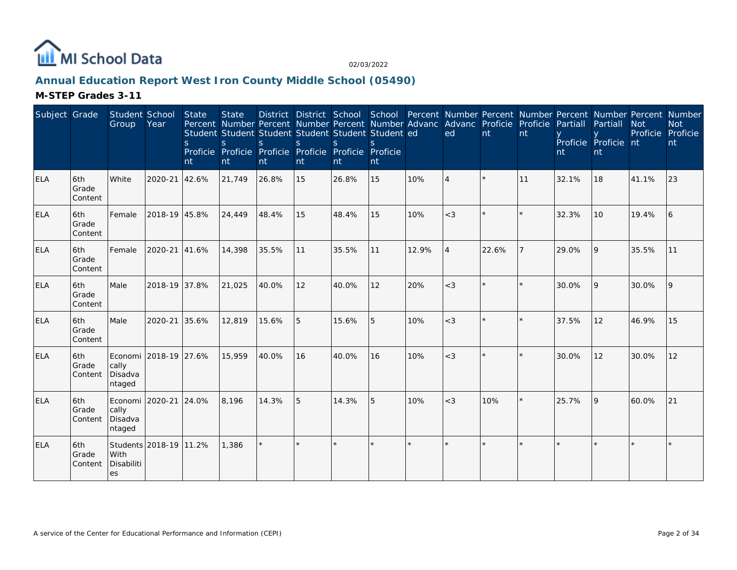

# **Annual Education Report West Iron County Middle School (05490)**

| Subject Grade |                         | Student School<br>Group                             | Year          | <b>State</b><br><sub>S</sub><br>nt | <b>State</b><br><sub>S</sub><br>nt | Percent Number Percent Number Percent Number Advanc Advanc Proficie Proficie<br>Student Student Student Student Student Student ed<br>S.<br>Proficie Proficie Proficie Proficie Proficie Proficie<br>nt | $\mathsf{S}$<br>nt | <sub>S</sub><br>Int | nt      |         | ed       | nt    | nt | Partiall<br>nt | District District School School Percent Number Percent Number Percent Number Percent Number<br>Partiall<br>Proficie Proficie nt<br>nt | <b>Not</b><br>Proficie Proficie | <b>Not</b><br>nt |
|---------------|-------------------------|-----------------------------------------------------|---------------|------------------------------------|------------------------------------|---------------------------------------------------------------------------------------------------------------------------------------------------------------------------------------------------------|--------------------|---------------------|---------|---------|----------|-------|----|----------------|---------------------------------------------------------------------------------------------------------------------------------------|---------------------------------|------------------|
| <b>ELA</b>    | 6th<br>Grade<br>Content | White                                               | 2020-21       | 42.6%                              | 21,749                             | 26.8%                                                                                                                                                                                                   | 15                 | 26.8%               | 15      | 10%     | $\Delta$ |       | 11 | 32.1%          | 18                                                                                                                                    | 41.1%                           | 23               |
| ELA           | 6th<br>Grade<br>Content | Female                                              | 2018-19 45.8% |                                    | 24,449                             | 48.4%                                                                                                                                                                                                   | 15                 | 48.4%               | 15      | 10%     | $<$ 3    |       |    | 32.3%          | 10                                                                                                                                    | 19.4%                           | 6                |
| <b>ELA</b>    | 6th<br>Grade<br>Content | Female                                              | 2020-21       | 41.6%                              | 14,398                             | 35.5%                                                                                                                                                                                                   | 11                 | 35.5%               | 11      | 12.9%   | 4        | 22.6% |    | 29.0%          | 9                                                                                                                                     | 35.5%                           | 11               |
| <b>ELA</b>    | 6th<br>Grade<br>Content | Male                                                | 2018-19 37.8% |                                    | 21,025                             | 40.0%                                                                                                                                                                                                   | 12                 | 40.0%               | 12      | 20%     | $<$ 3    |       |    | 30.0%          | 9                                                                                                                                     | 30.0%                           | l 9              |
| ELA           | 6th<br>Grade<br>Content | Male                                                | 2020-21       | 35.6%                              | 12,819                             | 15.6%                                                                                                                                                                                                   | 5                  | 15.6%               | 5       | 10%     | $<$ 3    |       |    | 37.5%          | 12                                                                                                                                    | 46.9%                           | 15               |
| <b>ELA</b>    | 6th<br>Grade<br>Content | Economi 2018-19 27.6%<br>cally<br>Disadva<br>ntaged |               |                                    | 15,959                             | 40.0%                                                                                                                                                                                                   | 16                 | 40.0%               | 16      | 10%     | $<$ 3    |       |    | 30.0%          | 12                                                                                                                                    | 30.0%                           | 12               |
| <b>ELA</b>    | 6th<br>Grade<br>Content | Economi   2020-21<br>cally<br>Disadva<br>ntaged     |               | 24.0%                              | 8,196                              | 14.3%                                                                                                                                                                                                   | 5                  | 14.3%               | 5       | 10%     | $<$ 3    | 10%   |    | 25.7%          | 9                                                                                                                                     | 60.0%                           | 21               |
| <b>ELA</b>    | 6th<br>Grade<br>Content | Students 2018-19 11.2%<br>With<br>Disabiliti<br>les |               |                                    | 1,386                              | $\star$                                                                                                                                                                                                 |                    |                     | $\star$ | $\star$ | $\star$  |       |    |                |                                                                                                                                       |                                 |                  |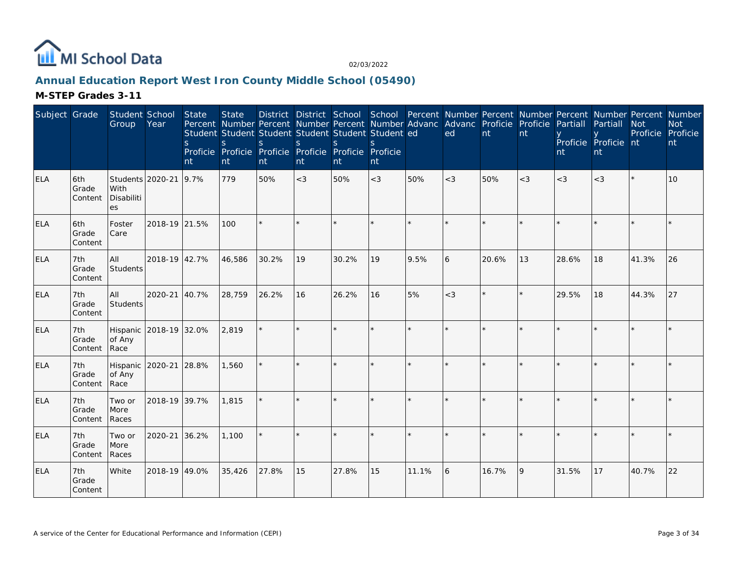

# **Annual Education Report West Iron County Middle School (05490)**

| Subject Grade |                         | Student School<br>Group                      | Year          | <b>State</b><br>S<br>nt | <b>State</b><br>Percent Number Percent Number Percent Number Advanc<br>Student Student Student Student Student Student ed<br>S<br>Proficie Proficie Proficie Proficie Proficie Proficie<br>$\mathsf{nt}$ | S.<br>nt | S.<br>nt | S.<br>nt | $\mathcal{S}$<br>nt |         | District District School School Percent Number Percent Number Percent Number Percent Number<br>Advanc Proficie Proficie<br>ed | nt    | nt    | Partiall<br>nt | Partiall<br>Proficie Proficie nt<br>nt | <b>Not</b><br>Proficie Proficie | <b>Not</b><br>nt |
|---------------|-------------------------|----------------------------------------------|---------------|-------------------------|----------------------------------------------------------------------------------------------------------------------------------------------------------------------------------------------------------|----------|----------|----------|---------------------|---------|-------------------------------------------------------------------------------------------------------------------------------|-------|-------|----------------|----------------------------------------|---------------------------------|------------------|
| <b>ELA</b>    | 6th<br>Grade<br>Content | Students 2020-21<br>With<br>Disabiliti<br>es |               | 9.7%                    | 779                                                                                                                                                                                                      | 50%      | $<$ 3    | 50%      | $<$ 3               | 50%     | $<$ 3                                                                                                                         | 50%   | $<$ 3 | $<$ 3          | $<$ 3                                  |                                 | 10 <sup>1</sup>  |
| <b>ELA</b>    | 6th<br>Grade<br>Content | Foster<br>Care                               | 2018-19 21.5% |                         | 100                                                                                                                                                                                                      |          |          |          |                     | $\star$ |                                                                                                                               |       |       |                |                                        |                                 |                  |
| <b>ELA</b>    | 7th<br>Grade<br>Content | All<br>Students                              | 2018-19 42.7% |                         | 46,586                                                                                                                                                                                                   | 30.2%    | 19       | 30.2%    | 19                  | 9.5%    | 6                                                                                                                             | 20.6% | 13    | 28.6%          | 18                                     | 41.3%                           | 26               |
| <b>ELA</b>    | 7th<br>Grade<br>Content | All<br>Students                              | 2020-21       | 40.7%                   | 28,759                                                                                                                                                                                                   | 26.2%    | 16       | 26.2%    | 16                  | 5%      | $<$ 3                                                                                                                         |       |       | 29.5%          | 18                                     | 44.3%                           | 27               |
| <b>ELA</b>    | 7th<br>Grade<br>Content | Hispanic 2018-19 32.0%<br>of Any<br>Race     |               |                         | 2,819                                                                                                                                                                                                    |          |          | $\star$  |                     | $\star$ | $\star$                                                                                                                       |       |       |                |                                        |                                 |                  |
| <b>ELA</b>    | 7th<br>Grade<br>Content | Hispanic 2020-21 28.8%<br>of Any<br>Race     |               |                         | 1,560                                                                                                                                                                                                    |          |          |          |                     |         |                                                                                                                               |       |       |                |                                        |                                 |                  |
| <b>ELA</b>    | 7th<br>Grade<br>Content | Two or<br>More<br>Races                      | 2018-19 39.7% |                         | 1,815                                                                                                                                                                                                    |          |          |          |                     | ÷.      | $\star$                                                                                                                       |       |       |                |                                        |                                 |                  |
| <b>ELA</b>    | 7th<br>Grade<br>Content | Two or<br>More<br>Races                      | 2020-21       | 36.2%                   | 1,100                                                                                                                                                                                                    |          |          |          |                     | $\star$ |                                                                                                                               |       |       |                |                                        |                                 |                  |
| <b>ELA</b>    | 7th<br>Grade<br>Content | White                                        | 2018-19 49.0% |                         | 35,426                                                                                                                                                                                                   | 27.8%    | 15       | 27.8%    | 15                  | 11.1%   | 6                                                                                                                             | 16.7% | Q     | 31.5%          | 17                                     | 40.7%                           | 22               |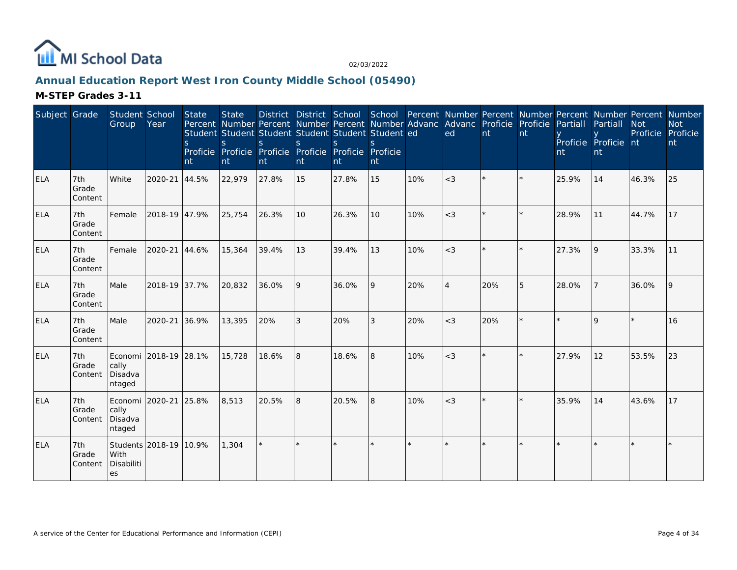

# **Annual Education Report West Iron County Middle School (05490)**

| Subject Grade |                         | Student School<br>Group                                 | Year          | <b>State</b><br><sub>S</sub><br>nt | <b>State</b><br>Percent Number Percent Number Percent Number Advanc Advanc Proficie Proficie<br>Student Student Student Student Student Student ed<br>S<br>Proficie Proficie Proficie Proficie Proficie Proficie<br>nt | S.<br>nt | <sub>S</sub><br>nt | <sub>S</sub><br>Int | nt      |     | ed             | nt  | nt | Partiall<br>nt | District District School School Percent Number Percent Number Percent Number Percent Number<br>Partiall<br>Proficie Proficie nt<br>nt | <b>Not</b><br>Proficie | <b>Not</b><br>Proficie<br>nt |
|---------------|-------------------------|---------------------------------------------------------|---------------|------------------------------------|------------------------------------------------------------------------------------------------------------------------------------------------------------------------------------------------------------------------|----------|--------------------|---------------------|---------|-----|----------------|-----|----|----------------|---------------------------------------------------------------------------------------------------------------------------------------|------------------------|------------------------------|
| <b>ELA</b>    | 7th<br>Grade<br>Content | White                                                   | 2020-21       | 44.5%                              | 22,979                                                                                                                                                                                                                 | 27.8%    | 15                 | 27.8%               | 15      | 10% | $<$ 3          |     |    | 25.9%          | 14                                                                                                                                    | 46.3%                  | 25                           |
| <b>ELA</b>    | 7th<br>Grade<br>Content | Female                                                  | 2018-19 47.9% |                                    | 25,754                                                                                                                                                                                                                 | 26.3%    | 10                 | 26.3%               | 10      | 10% | $<$ 3          |     |    | 28.9%          | 11                                                                                                                                    | 44.7%                  | 17                           |
| <b>ELA</b>    | 7th<br>Grade<br>Content | Female                                                  | 2020-21 44.6% |                                    | 15,364                                                                                                                                                                                                                 | 39.4%    | 13                 | 39.4%               | 13      | 10% | $<$ 3          |     |    | 27.3%          | 9                                                                                                                                     | 33.3%                  | 11                           |
| <b>ELA</b>    | 7th<br>Grade<br>Content | Male                                                    | 2018-19 37.7% |                                    | 20,832                                                                                                                                                                                                                 | 36.0%    | 9                  | 36.0%               | 9       | 20% | $\overline{4}$ | 20% | 5  | 28.0%          |                                                                                                                                       | 36.0%                  | 9                            |
| ELA           | 7th<br>Grade<br>Content | Male                                                    | 2020-21 36.9% |                                    | 13,395                                                                                                                                                                                                                 | 20%      | 3                  | 20%                 | 3       | 20% | $<$ 3          | 20% |    |                | $\Omega$                                                                                                                              |                        | 16                           |
| <b>ELA</b>    | 7th<br>Grade<br>Content | Economi 2018-19 28.1%<br>cally<br>Disadva<br>ntaged     |               |                                    | 15,728                                                                                                                                                                                                                 | 18.6%    | 8                  | 18.6%               | 8       | 10% | $<$ 3          |     |    | 27.9%          | 12                                                                                                                                    | 53.5%                  | 23                           |
| <b>ELA</b>    | 7th<br>Grade<br>Content | Economi   2020-21   25.8%<br>cally<br>Disadva<br>ntaged |               |                                    | 8,513                                                                                                                                                                                                                  | 20.5%    | 8                  | 20.5%               | 8       | 10% | $<$ 3          |     |    | 35.9%          | 14                                                                                                                                    | 43.6%                  | 17                           |
| <b>ELA</b>    | 7th<br>Grade<br>Content | Students 2018-19 10.9%<br>With<br>Disabiliti<br>es      |               |                                    | 1,304                                                                                                                                                                                                                  | $\star$  |                    |                     | $\star$ |     |                |     |    |                |                                                                                                                                       |                        |                              |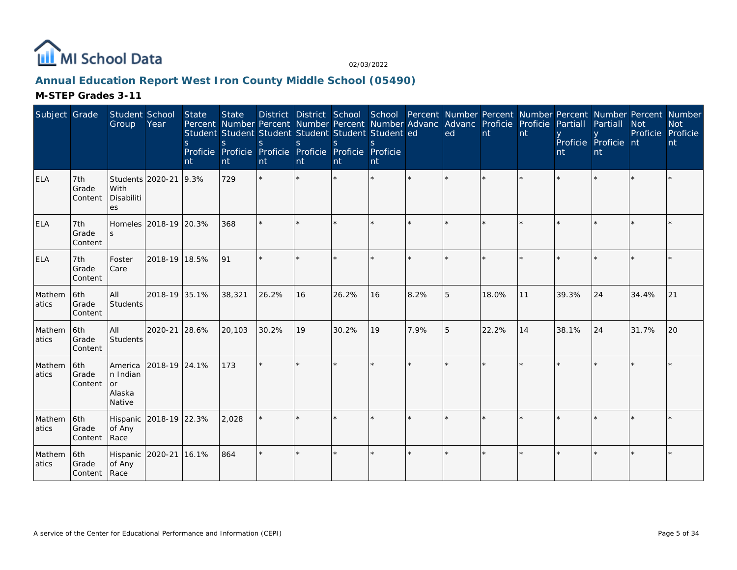

# **Annual Education Report West Iron County Middle School (05490)**

| Subject Grade   |                                | Student School<br>Group                       | Year                  | <b>State</b><br>S.<br>nt | <b>State</b><br>Percent Number Percent Number Percent Number Advanc Advanc Proficie Proficie<br>Student Student Student Student Student Student ed<br>S<br>Proficie Proficie Proficie Proficie Proficie Proficie<br>nt | <sub>S</sub><br>nt | <sub>S</sub><br>nt | District District School School Percent Number Percent Number Percent Number Percent Number<br><sub>S</sub><br>nt | $\mathcal{S}$<br>nt |      | ed | nt    | nt | Partiall<br>nt | Partiall<br>Proficie Proficie nt<br>nt | <b>Not</b><br>Proficie | <b>Not</b><br>Proficie<br>nt |
|-----------------|--------------------------------|-----------------------------------------------|-----------------------|--------------------------|------------------------------------------------------------------------------------------------------------------------------------------------------------------------------------------------------------------------|--------------------|--------------------|-------------------------------------------------------------------------------------------------------------------|---------------------|------|----|-------|----|----------------|----------------------------------------|------------------------|------------------------------|
| <b>ELA</b>      | 7th<br>Grade<br>Content        | Students 2020-21<br>With<br>Disabiliti<br>es  |                       | 9.3%                     | 729                                                                                                                                                                                                                    |                    |                    |                                                                                                                   |                     |      |    |       |    |                |                                        |                        |                              |
| <b>ELA</b>      | 7th<br>Grade<br>Content        | S.                                            | Homeles 2018-19 20.3% |                          | 368                                                                                                                                                                                                                    |                    |                    |                                                                                                                   |                     |      |    |       |    |                |                                        |                        |                              |
| <b>ELA</b>      | 7th<br>Grade<br>Content        | Foster<br>Care                                | 2018-19 18.5%         |                          | 191                                                                                                                                                                                                                    |                    |                    |                                                                                                                   | ×.                  |      |    |       |    |                |                                        |                        |                              |
| Mathem<br>atics | 6th<br>Grade<br>Content        | All<br>Students                               | 2018-19 35.1%         |                          | 38,321                                                                                                                                                                                                                 | 26.2%              | 16                 | 26.2%                                                                                                             | 16                  | 8.2% | 5  | 18.0% | 11 | 39.3%          | 24                                     | 34.4%                  | 21                           |
| Mathem<br>atics | 6th<br>Grade<br>Content        | All<br>Students                               | 2020-21 28.6%         |                          | 20,103                                                                                                                                                                                                                 | 30.2%              | 19                 | 30.2%                                                                                                             | 19                  | 7.9% | 5  | 22.2% | 14 | 38.1%          | 24                                     | 31.7%                  | 20                           |
| Mathem<br>atics | 6th<br>Grade<br>Content        | America<br>n Indian<br>or<br>Alaska<br>Native | 2018-19 24.1%         |                          | 173                                                                                                                                                                                                                    |                    |                    |                                                                                                                   |                     |      |    |       |    |                |                                        |                        |                              |
| Mathem<br>atics | 6th<br>Grade<br>Content        | Hispanic 2018-19 22.3%<br>of Any<br>Race      |                       |                          | 2,028                                                                                                                                                                                                                  |                    |                    |                                                                                                                   |                     |      |    |       |    |                |                                        |                        |                              |
| Mathem<br>atics | 6th<br>Grade<br>Content   Race | Hispanic 2020-21 16.1%<br>of Any              |                       |                          | 864                                                                                                                                                                                                                    | $\star$            |                    |                                                                                                                   |                     |      |    |       |    |                |                                        |                        |                              |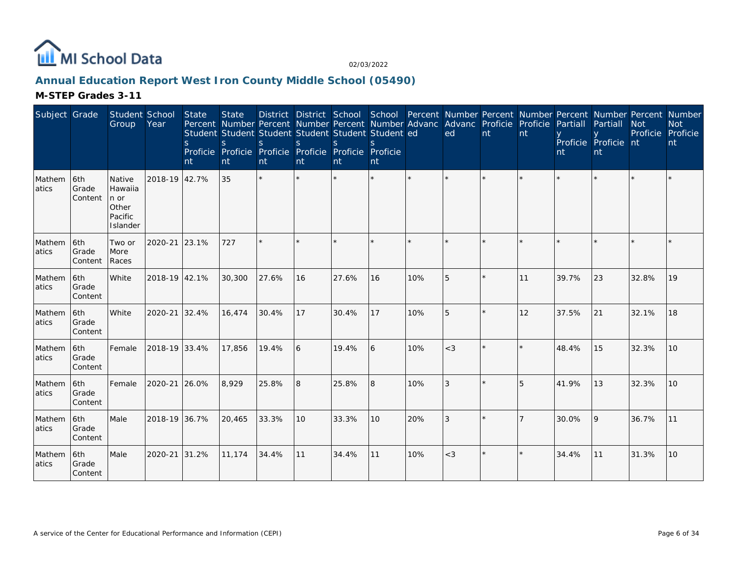

# **Annual Education Report West Iron County Middle School (05490)**

| Subject Grade   |                         | Student School<br>Group                                   | Year          | State<br><sub>S</sub><br>nt | <b>State</b><br><sub>S</sub><br>nt | District District School School Percent Number Percent Number Percent Number Percent Number<br>Percent Number Percent Number Percent Number Advanc Advanc Proficie Proficie<br>Student Student Student Student Student Student ed<br><sub>S</sub><br>Proficie Proficie Proficie Proficie Proficie Proficie<br>nt | $\mathbf S$<br>nt | <sub>S</sub><br>Int | $\mathcal{S}$<br>nt |         | ed      | nt      | nt | Partiall<br>nt | Partiall<br>Proficie Proficie nt<br>nt | <b>Not</b><br>Proficie | <b>Not</b><br>Proficie<br>nt |
|-----------------|-------------------------|-----------------------------------------------------------|---------------|-----------------------------|------------------------------------|------------------------------------------------------------------------------------------------------------------------------------------------------------------------------------------------------------------------------------------------------------------------------------------------------------------|-------------------|---------------------|---------------------|---------|---------|---------|----|----------------|----------------------------------------|------------------------|------------------------------|
| Mathem<br>atics | 6th<br>Grade<br>Content | Native<br>Hawaiia<br>n or<br>Other<br>Pacific<br>Islander | 2018-19 42.7% |                             | 35                                 | $\star$                                                                                                                                                                                                                                                                                                          |                   |                     | $\star$             | $\star$ |         |         |    |                |                                        |                        |                              |
| Mathem<br>atics | 6th<br>Grade<br>Content | Two or<br>More<br>Races                                   | 2020-21       | 23.1%                       | 727                                | $\star$                                                                                                                                                                                                                                                                                                          |                   |                     | ÷.                  | ÷.      | $\star$ |         |    |                |                                        |                        |                              |
| Mathem<br>atics | 6th<br>Grade<br>Content | White                                                     | 2018-19 42.1% |                             | 30,300                             | 27.6%                                                                                                                                                                                                                                                                                                            | 16                | 27.6%               | 16                  | 10%     | 5       |         | 11 | 39.7%          | 23                                     | 32.8%                  | 19                           |
| Mathem<br>atics | 6th<br>Grade<br>Content | White                                                     | 2020-21       | 32.4%                       | 16,474                             | 30.4%                                                                                                                                                                                                                                                                                                            | 17                | 30.4%               | 17                  | 10%     | 5       |         | 12 | 37.5%          | 21                                     | 32.1%                  | 18                           |
| Mathem<br>atics | 6th<br>Grade<br>Content | Female                                                    | 2018-19 33.4% |                             | 17,856                             | 19.4%                                                                                                                                                                                                                                                                                                            | 6                 | 19.4%               | 6                   | 10%     | $<$ 3   | $\star$ |    | 48.4%          | 15                                     | 32.3%                  | 10                           |
| Mathem<br>atics | 6th<br>Grade<br>Content | Female                                                    | 2020-21       | 26.0%                       | 8,929                              | 25.8%                                                                                                                                                                                                                                                                                                            | 8                 | 25.8%               | 8                   | 10%     | 3       |         | 5  | 41.9%          | 13                                     | 32.3%                  | 10 <sup>1</sup>              |
| Mathem<br>atics | 6th<br>Grade<br>Content | Male                                                      | 2018-19 36.7% |                             | 20,465                             | 33.3%                                                                                                                                                                                                                                                                                                            | 10                | 33.3%               | 10 <sup>°</sup>     | 20%     | 3       |         |    | 30.0%          | 9                                      | 36.7%                  | 11                           |
| Mathem<br>atics | 6th<br>Grade<br>Content | Male                                                      | 2020-21       | 31.2%                       | 11.174                             | 34.4%                                                                                                                                                                                                                                                                                                            | 11                | 34.4%               | 11                  | 10%     | $<$ 3   |         |    | 34.4%          | 11                                     | 31.3%                  | 10                           |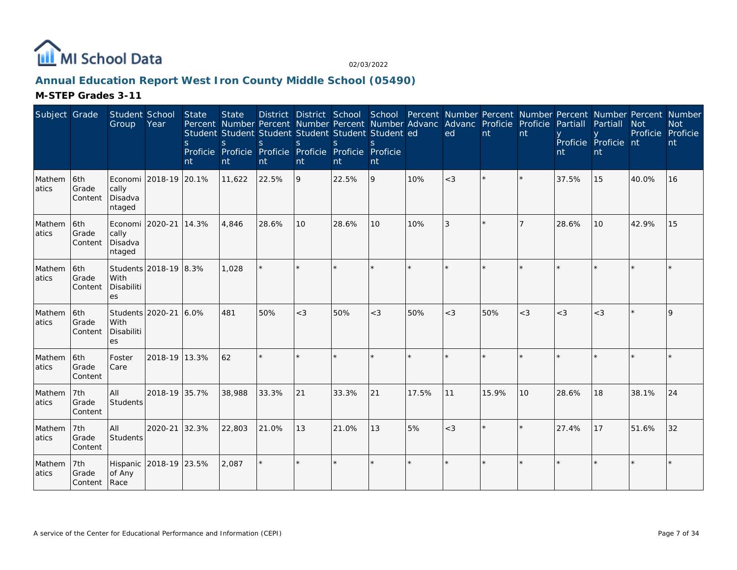

# **Annual Education Report West Iron County Middle School (05490)**

| Subject Grade    |                              | Student School<br>Group                       | Year                  | <b>State</b><br><sub>S</sub><br>nt | <b>State</b><br>S<br>nt | Student Student Student Student Student Student ed<br>S.<br>Proficie Proficie Proficie Proficie Proficie Proficie<br>nt | <sub>S</sub><br>nt | <sup>S</sup><br>nt | $\mathcal{S}$<br>nt |       | District District School School Percent Number Percent Number Percent Number Percent Number<br>Percent Number Percent Number Percent Number Advanc Advanc Proficie Proficie<br>ed | nt    | nt      | Partiall<br>nt | Partiall<br>Proficie Proficie nt<br>nt | <b>Not</b><br>Proficie Proficie | <b>Not</b><br>nt |
|------------------|------------------------------|-----------------------------------------------|-----------------------|------------------------------------|-------------------------|-------------------------------------------------------------------------------------------------------------------------|--------------------|--------------------|---------------------|-------|-----------------------------------------------------------------------------------------------------------------------------------------------------------------------------------|-------|---------|----------------|----------------------------------------|---------------------------------|------------------|
| Mathem<br>atics  | 6th<br>Grade<br>Content      | cally<br>Disadva<br>ntaged                    | Economi 2018-19 20.1% |                                    | 11,622                  | 22.5%                                                                                                                   | 9                  | 22.5%              | 9                   | 10%   | $<$ 3                                                                                                                                                                             |       | ×.      | 37.5%          | 15                                     | 40.0%                           | 16               |
| Mathem<br>latics | l6th<br>Grade<br>Content     | Economi 2020-21<br>cally<br>Disadva<br>ntaged |                       | 14.3%                              | 4,846                   | 28.6%                                                                                                                   | 10                 | 28.6%              | 10                  | 10%   | 3                                                                                                                                                                                 |       |         | 28.6%          | 10                                     | 42.9%                           | 15               |
| Mathem<br>atics  | 6th<br>Grade<br>Content      | With<br>Disabiliti<br>es                      | Students 2018-19 8.3% |                                    | 1,028                   | $\star$                                                                                                                 |                    |                    |                     |       |                                                                                                                                                                                   |       |         |                |                                        |                                 |                  |
| Mathem<br>atics  | 6th<br>Grade<br>Content      | Students 2020-21<br>With<br>Disabiliti<br>es  |                       | 6.0%                               | 481                     | 50%                                                                                                                     | $<$ 3              | 50%                | $<$ 3               | 50%   | $<$ 3                                                                                                                                                                             | 50%   | $<$ 3   | $<$ 3          | $<$ 3                                  |                                 | 9                |
| Mathem<br>atics  | 6th<br>Grade<br>Content      | Foster<br>Care                                | 2018-19 13.3%         |                                    | 62                      | $\star$                                                                                                                 |                    |                    |                     |       |                                                                                                                                                                                   |       |         |                |                                        |                                 |                  |
| Mathem<br>atics  | 7th<br>Grade<br>Content      | All<br>Students                               | 2018-19 35.7%         |                                    | 38,988                  | 33.3%                                                                                                                   | 21                 | 33.3%              | 21                  | 17.5% | 11                                                                                                                                                                                | 15.9% | 10      | 28.6%          | 18                                     | 38.1%                           | 24               |
| Mathem<br>atics  | 7th<br>Grade<br>Content      | All<br>Students                               | 2020-21               | 32.3%                              | 22,803                  | 21.0%                                                                                                                   | 13                 | 21.0%              | 13                  | 5%    | $<$ 3                                                                                                                                                                             |       | $\star$ | 27.4%          | 17                                     | 51.6%                           | 32               |
| Mathem<br>atics  | 7th<br>Grade<br>Content Race | Hispanic<br>of Any                            | 2018-19 23.5%         |                                    | 2,087                   | $\star$                                                                                                                 |                    |                    |                     |       |                                                                                                                                                                                   |       | $\star$ | $\star$        |                                        |                                 |                  |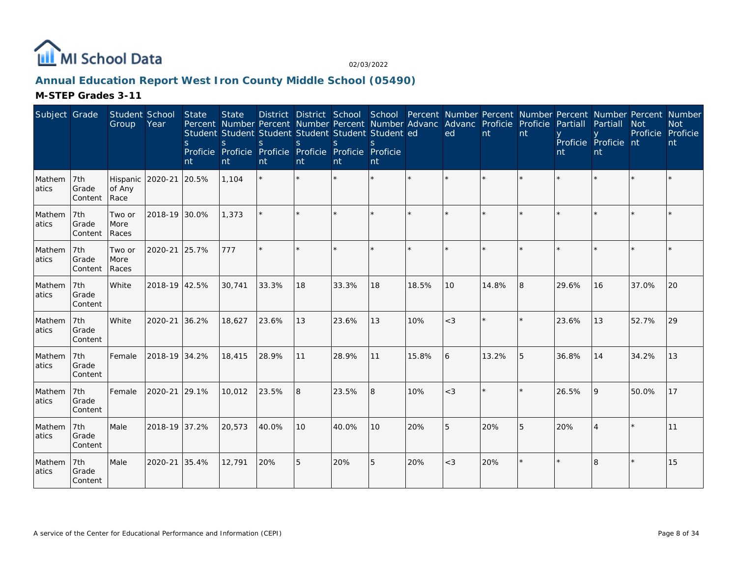

# **Annual Education Report West Iron County Middle School (05490)**

| Subject Grade   |                         | Student School<br>Group    | Year          | State<br><sub>S</sub><br>nt | <b>State</b><br><sub>S</sub><br>nt | Percent Number Percent Number Percent Number Advanc Advanc Proficie Proficie<br>Student Student Student Student Student Student ed<br><sub>S</sub><br>Proficie Proficie Proficie Proficie Proficie Proficie<br>nt | <sub>S</sub><br>nt | S.<br>nt | $\mathcal{S}_{\mathcal{S}}$<br>nt |       | District District School School Percent Number Percent Number Percent Number Percent Number<br>ed | nt    | nt | Partiall<br>nt | Partiall<br>Proficie Proficie nt<br>nt | <b>Not</b><br>Proficie | <b>Not</b><br>Proficie<br>nt |
|-----------------|-------------------------|----------------------------|---------------|-----------------------------|------------------------------------|-------------------------------------------------------------------------------------------------------------------------------------------------------------------------------------------------------------------|--------------------|----------|-----------------------------------|-------|---------------------------------------------------------------------------------------------------|-------|----|----------------|----------------------------------------|------------------------|------------------------------|
| Mathem<br>atics | 7th<br>Grade<br>Content | Hispanic<br>of Any<br>Race | 2020-21       | 20.5%                       | 1,104                              |                                                                                                                                                                                                                   |                    |          | $\star$                           |       |                                                                                                   |       |    |                |                                        |                        |                              |
| Mathem<br>atics | 7th<br>Grade<br>Content | Two or<br>More<br>Races    | 2018-19 30.0% |                             | 1,373                              |                                                                                                                                                                                                                   |                    |          |                                   |       |                                                                                                   |       |    |                |                                        |                        |                              |
| Mathem<br>atics | 7th<br>Grade<br>Content | Two or<br>More<br>Races    | 2020-21       | 25.7%                       | 777                                |                                                                                                                                                                                                                   |                    |          | $\star$                           |       |                                                                                                   |       |    |                |                                        |                        |                              |
| Mathem<br>atics | 7th<br>Grade<br>Content | White                      | 2018-19 42.5% |                             | 30,741                             | 33.3%                                                                                                                                                                                                             | 18                 | 33.3%    | 18                                | 18.5% | 10                                                                                                | 14.8% | R. | 29.6%          | 16                                     | 37.0%                  | 20                           |
| Mathem<br>atics | 7th<br>Grade<br>Content | White                      | 2020-21       | 36.2%                       | 18,627                             | 23.6%                                                                                                                                                                                                             | 13                 | 23.6%    | 13                                | 10%   | $<$ 3                                                                                             |       |    | 23.6%          | 13                                     | 52.7%                  | 29                           |
| Mathem<br>atics | 7th<br>Grade<br>Content | Female                     | 2018-19 34.2% |                             | 18,415                             | 28.9%                                                                                                                                                                                                             | 11                 | 28.9%    | 11                                | 15.8% | 6                                                                                                 | 13.2% | 5  | 36.8%          | 14                                     | 34.2%                  | 13                           |
| Mathem<br>atics | 7th<br>Grade<br>Content | Female                     | 2020-21       | 29.1%                       | 10,012                             | 23.5%                                                                                                                                                                                                             | $\overline{8}$     | 23.5%    | 8                                 | 10%   | $<$ 3                                                                                             |       |    | 26.5%          | $\overline{Q}$                         | 50.0%                  | 17                           |
| Mathem<br>atics | 7th<br>Grade<br>Content | Male                       | 2018-19 37.2% |                             | 20,573                             | 40.0%                                                                                                                                                                                                             | 10                 | 40.0%    | 10                                | 20%   | 5                                                                                                 | 20%   | 5  | 20%            |                                        |                        | 11                           |
| Mathem<br>atics | 7th<br>Grade<br>Content | Male                       | 2020-21       | 35.4%                       | 12,791                             | 20%                                                                                                                                                                                                               | 5                  | 20%      | 5                                 | 20%   | $<$ 3                                                                                             | 20%   |    |                | 8                                      |                        | 15                           |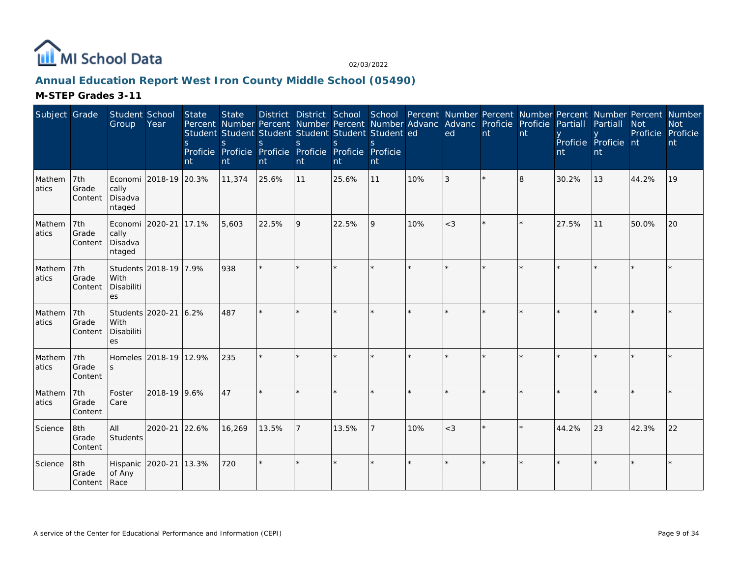

# **Annual Education Report West Iron County Middle School (05490)**

| Subject Grade   |                              | Student School<br>Group                       | Year                  | State<br><sub>S</sub><br>nt | <b>State</b><br><sub>S</sub><br>nt | Percent Number Percent Number Percent Number Advanc Advanc Proficie Proficie<br>Student Student Student Student Student Student ed<br><sub>S</sub><br>Proficie Proficie Proficie Proficie Proficie Proficie<br>nt | <sub>S</sub><br>nt | $\mathcal{S}$<br>nt | $\mathcal{S}$<br>nt |     | ed      | nt | nt      | Partiall<br>nt | District District School School Percent Number Percent Number Percent Number Percent Number<br>Partiall<br>Proficie Proficie nt<br>nt | <b>Not</b><br>Proficie | <b>Not</b><br>Proficie<br>nt |
|-----------------|------------------------------|-----------------------------------------------|-----------------------|-----------------------------|------------------------------------|-------------------------------------------------------------------------------------------------------------------------------------------------------------------------------------------------------------------|--------------------|---------------------|---------------------|-----|---------|----|---------|----------------|---------------------------------------------------------------------------------------------------------------------------------------|------------------------|------------------------------|
| Mathem<br>atics | 7th<br>Grade<br>Content      | Economi<br>cally<br>Disadva<br>ntaged         | 2018-19 20.3%         |                             | 11,374                             | 25.6%                                                                                                                                                                                                             | 11                 | 25.6%               | 11                  | 10% | 3       |    | 8       | 30.2%          | 13                                                                                                                                    | 44.2%                  | 19                           |
| Mathem<br>atics | 7th<br>Grade<br>Content      | Economi 2020-21<br>cally<br>Disadva<br>ntaged |                       | 17.1%                       | 5,603                              | 22.5%                                                                                                                                                                                                             | 9                  | 22.5%               | 9                   | 10% | $<$ 3   |    | $\star$ | 27.5%          | 11                                                                                                                                    | 50.0%                  | 20                           |
| Mathem<br>atics | 7th<br>Grade<br>Content      | With<br>Disabiliti<br>es                      | Students 2018-19 7.9% |                             | 938                                | $\star$                                                                                                                                                                                                           |                    |                     |                     |     |         |    |         |                |                                                                                                                                       |                        |                              |
| Mathem<br>atics | 7th<br>Grade<br>Content      | Students 2020-21<br>With<br>Disabiliti<br>es  |                       | 6.2%                        | 487                                |                                                                                                                                                                                                                   | $\star$            |                     | $\star$             |     | $\star$ |    |         |                |                                                                                                                                       |                        |                              |
| Mathem<br>atics | 7th<br>Grade<br>Content      | <sub>S</sub>                                  | Homeles 2018-19 12.9% |                             | 235                                |                                                                                                                                                                                                                   |                    |                     |                     |     |         |    |         |                |                                                                                                                                       |                        |                              |
| Mathem<br>atics | 7th<br>Grade<br>Content      | Foster<br>Care                                | 2018-19 9.6%          |                             | 47                                 |                                                                                                                                                                                                                   |                    |                     | $\star$             |     |         |    |         |                |                                                                                                                                       |                        |                              |
| Science         | 8th<br>Grade<br>Content      | All<br>Students                               | 2020-21               | 22.6%                       | 16,269                             | 13.5%                                                                                                                                                                                                             |                    | 13.5%               |                     | 10% | $<$ 3   |    |         | 44.2%          | 23                                                                                                                                    | 42.3%                  | 22                           |
| Science         | 8th<br>Grade<br>Content Race | Hispanic<br>of Any                            | 2020-21               | 13.3%                       | 720                                | ÷.                                                                                                                                                                                                                | ×.                 | $\star$             | ÷.                  |     | $\star$ |    |         |                |                                                                                                                                       |                        |                              |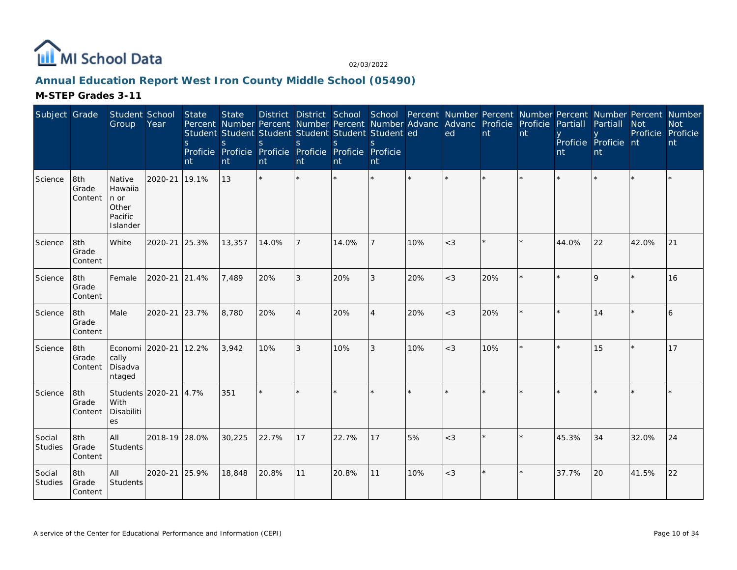

# **Annual Education Report West Iron County Middle School (05490)**

| Subject Grade     |                         | Student School<br>Group                                   | Year          | <b>State</b><br><sub>S</sub><br>nt | <b>State</b><br>S<br>nt | District District School School Percent Number Percent Number Percent Number Percent Number<br>Percent Number Percent Number Percent Number Advanc<br>Student Student Student Student Student Student ed<br>S.<br>Proficie Proficie Proficie Proficie Proficie Proficie<br>nt | S<br>nt        | <sub>S</sub><br>nt | S.<br>nt |         | Advanc Proficie Proficie<br>ed | nt      | nt | Partiall<br>nt | Partiall<br>Proficie Proficie nt<br>nt | <b>Not</b><br>Proficie Proficie | <b>Not</b><br>nt |
|-------------------|-------------------------|-----------------------------------------------------------|---------------|------------------------------------|-------------------------|-------------------------------------------------------------------------------------------------------------------------------------------------------------------------------------------------------------------------------------------------------------------------------|----------------|--------------------|----------|---------|--------------------------------|---------|----|----------------|----------------------------------------|---------------------------------|------------------|
| Science           | 8th<br>Grade<br>Content | Native<br>Hawaiia<br>n or<br>Other<br>Pacific<br>Islander | 2020-21       | 19.1%                              | 13                      | ÷.                                                                                                                                                                                                                                                                            | $\star$        |                    | ×.       | $\star$ |                                |         |    |                |                                        |                                 |                  |
| Science           | 8th<br>Grade<br>Content | White                                                     | 2020-21       | 25.3%                              | 13,357                  | 14.0%                                                                                                                                                                                                                                                                         | $\overline{7}$ | 14.0%              |          | 10%     | $<$ 3                          |         |    | 44.0%          | 22                                     | 42.0%                           | 21               |
| Science           | 8th<br>Grade<br>Content | Female                                                    | 2020-21       | 21.4%                              | 7,489                   | 20%                                                                                                                                                                                                                                                                           | 3              | 20%                | 3        | 20%     | $<$ 3                          | 20%     |    |                | $\mathsf{Q}$                           |                                 | 16               |
| Science           | 8th<br>Grade<br>Content | Male                                                      | 2020-21       | 23.7%                              | 8,780                   | 20%                                                                                                                                                                                                                                                                           | $\overline{4}$ | 20%                | 4        | 20%     | $<$ 3                          | 20%     |    |                | 14                                     |                                 | 6                |
| Science           | 8th<br>Grade<br>Content | Economi<br>cally<br>Disadva<br>ntaged                     | 2020-21       | 12.2%                              | 3,942                   | 10%                                                                                                                                                                                                                                                                           | 3              | 10%                | 3        | 10%     | $<$ 3                          | 10%     |    |                | 15                                     |                                 | 17               |
| Science           | 8th<br>Grade<br>Content | Students 2020-21<br>With<br>Disabiliti<br>es              |               | 4.7%                               | 351                     |                                                                                                                                                                                                                                                                               |                |                    |          |         |                                |         |    |                |                                        |                                 |                  |
| Social<br>Studies | 8th<br>Grade<br>Content | All<br>Students                                           | 2018-19 28.0% |                                    | 30,225                  | 22.7%                                                                                                                                                                                                                                                                         | 17             | 22.7%              | 17       | 5%      | $<$ 3                          |         |    | 45.3%          | 34                                     | 32.0%                           | 24               |
| Social<br>Studies | 8th<br>Grade<br>Content | All<br>Students                                           | 2020-21       | 25.9%                              | 18,848                  | 20.8%                                                                                                                                                                                                                                                                         | 11             | 20.8%              | 11       | 10%     | $<$ 3                          | $\star$ |    | 37.7%          | 20                                     | 41.5%                           | 22               |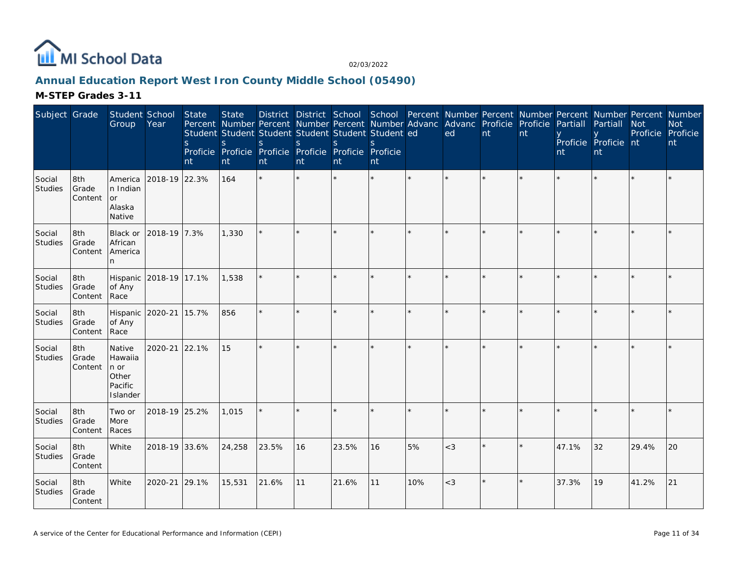

# **Annual Education Report West Iron County Middle School (05490)**

| Subject Grade            |                         | Student School<br>Group                                               | Year                   | State<br>$\mathsf{S}$<br>nt | <b>State</b><br>$\mathsf{S}$<br>nt | Percent Number Percent Number Percent Number Advanc<br>Student Student Student Student Student Student ed<br><sub>S</sub><br>Proficie Proficie Proficie Proficie Proficie Proficie<br>nt | <sub>S</sub><br>nt | <sub>S</sub><br>nt | S.<br>nt |                         | District District School School Percent Number Percent Number Percent Number Percent Number<br>Advanc Proficie Proficie<br>ed | nt | nt | Partiall<br>nt | Partiall<br>Proficie Proficie nt<br>nt | <b>Not</b><br>Proficie Proficie | <b>Not</b><br>nt |
|--------------------------|-------------------------|-----------------------------------------------------------------------|------------------------|-----------------------------|------------------------------------|------------------------------------------------------------------------------------------------------------------------------------------------------------------------------------------|--------------------|--------------------|----------|-------------------------|-------------------------------------------------------------------------------------------------------------------------------|----|----|----------------|----------------------------------------|---------------------------------|------------------|
| Social<br>Studies        | 8th<br>Grade<br>Content | America<br>In Indian<br>or<br>Alaska<br>Native                        | 2018-19 22.3%          |                             | 164                                | $\star$                                                                                                                                                                                  |                    |                    |          |                         |                                                                                                                               |    |    |                |                                        |                                 |                  |
| Social<br>Studies        | 8th<br>Grade<br>Content | Black or<br>African<br>America<br>n.                                  | 2018-19 7.3%           |                             | 1,330                              |                                                                                                                                                                                          |                    |                    |          |                         |                                                                                                                               |    |    |                |                                        |                                 |                  |
| Social<br>Studies        | 8th<br>Grade<br>Content | of Any<br>Race                                                        | Hispanic 2018-19 17.1% |                             | 1,538                              |                                                                                                                                                                                          | ×.                 |                    | $\star$  |                         |                                                                                                                               |    |    |                |                                        |                                 |                  |
| Social<br>Studies        | 8th<br>Grade<br>Content | Hispanic<br>of Any<br>Race                                            | 2020-21                | 15.7%                       | 856                                | ÷.                                                                                                                                                                                       | $\star$            |                    | ×.       | $\ddot{\phantom{1}}$    | $\star$                                                                                                                       |    |    |                |                                        |                                 |                  |
| Social<br>Studies        | 8th<br>Grade<br>Content | Native<br>Hawaiia<br>$ n \text{ or }$<br>Other<br>Pacific<br>Islander | 2020-21                | 22.1%                       | 15                                 |                                                                                                                                                                                          |                    |                    |          |                         |                                                                                                                               |    |    |                |                                        |                                 |                  |
| Social<br>Studies        | 8th<br>Grade<br>Content | Two or<br>More<br>Races                                               | 2018-19 25.2%          |                             | 1,015                              | ÷.                                                                                                                                                                                       | ×.                 |                    | ×.       | $\mathbf{d} \mathbf{r}$ | $\star$                                                                                                                       |    |    |                |                                        |                                 |                  |
| Social<br>Studies        | 8th<br>Grade<br>Content | White                                                                 | 2018-19 33.6%          |                             | 24,258                             | 23.5%                                                                                                                                                                                    | 16                 | 23.5%              | 16       | 5%                      | $<$ 3                                                                                                                         |    |    | 47.1%          | 32                                     | 29.4%                           | 20               |
| Social<br><b>Studies</b> | 8th<br>Grade<br>Content | White                                                                 | 2020-21                | 29.1%                       | 15,531                             | 21.6%                                                                                                                                                                                    | 11                 | 21.6%              | 11       | 10%                     | $<$ 3                                                                                                                         |    |    | 37.3%          | 19                                     | 41.2%                           | 21               |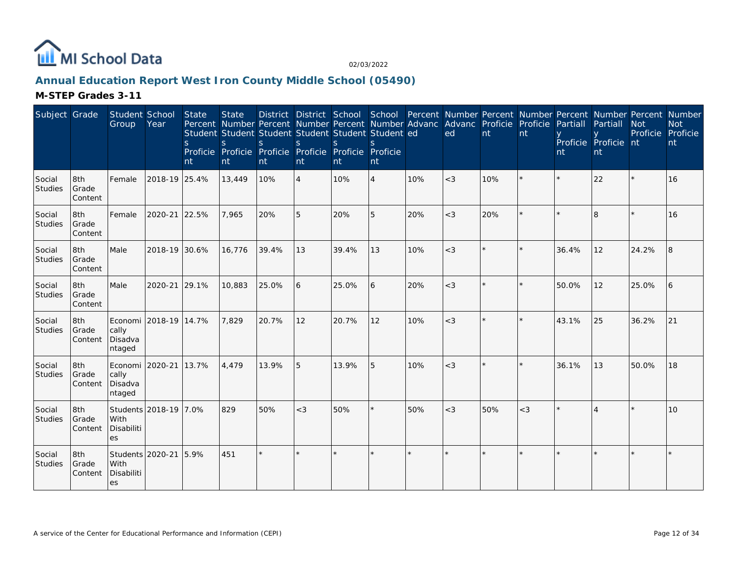

# **Annual Education Report West Iron County Middle School (05490)**

| Subject Grade     |                         | Student School<br>Group                       | Year                  | <b>State</b><br><sub>S</sub><br>nt | <b>State</b><br>S<br>nt | Percent Number Percent Number Percent Number Advanc Advanc Proficie Proficie<br>Student Student Student Student Student Student ed<br><sub>S</sub><br>Proficie Proficie Proficie Proficie Proficie Proficie<br>nt | <sub>S</sub><br>nt | S<br>nt | $\mathcal{S}$<br>nt |     | ed    | nt      | nt      | District District School School Percent Number Percent Number Percent Number Percent Number<br>Partiall<br>nt | Partiall<br>Proficie Proficie nt<br>nt | <b>Not</b><br>Proficie Proficie | <b>Not</b><br>nt |
|-------------------|-------------------------|-----------------------------------------------|-----------------------|------------------------------------|-------------------------|-------------------------------------------------------------------------------------------------------------------------------------------------------------------------------------------------------------------|--------------------|---------|---------------------|-----|-------|---------|---------|---------------------------------------------------------------------------------------------------------------|----------------------------------------|---------------------------------|------------------|
| Social<br>Studies | 8th<br>Grade<br>Content | Female                                        | 2018-19 25.4%         |                                    | 13,449                  | 10%                                                                                                                                                                                                               | $\overline{4}$     | 10%     | $\overline{4}$      | 10% | $<$ 3 | 10%     | ×       | $\star$                                                                                                       | 22                                     |                                 | 16               |
| Social<br>Studies | 8th<br>Grade<br>Content | Female                                        | 2020-21               | 22.5%                              | 7,965                   | 20%                                                                                                                                                                                                               | 5                  | 20%     | 5                   | 20% | $<$ 3 | 20%     | $\star$ | $\star$                                                                                                       | 8                                      |                                 | 16               |
| Social<br>Studies | 8th<br>Grade<br>Content | Male                                          | 2018-19 30.6%         |                                    | 16,776                  | 39.4%                                                                                                                                                                                                             | 13                 | 39.4%   | 13                  | 10% | $<$ 3 |         | $\star$ | 36.4%                                                                                                         | 12                                     | 24.2%                           | 8                |
| Social<br>Studies | 8th<br>Grade<br>Content | Male                                          | 2020-21               | 29.1%                              | 10,883                  | 25.0%                                                                                                                                                                                                             | 6                  | 25.0%   | 6                   | 20% | $<$ 3 | $\star$ | $\star$ | 50.0%                                                                                                         | 12                                     | 25.0%                           | 6                |
| Social<br>Studies | 8th<br>Grade<br>Content | cally<br>Disadva<br>ntaged                    | Economi 2018-19 14.7% |                                    | 7,829                   | 20.7%                                                                                                                                                                                                             | 12                 | 20.7%   | 12                  | 10% | $<$ 3 |         | $\star$ | 43.1%                                                                                                         | 25                                     | 36.2%                           | 21               |
| Social<br>Studies | 8th<br>Grade<br>Content | Economi 2020-21<br>cally<br>Disadva<br>ntaged |                       | 13.7%                              | 4,479                   | 13.9%                                                                                                                                                                                                             | 5                  | 13.9%   | 5                   | 10% | $<$ 3 | $\star$ | $\star$ | 36.1%                                                                                                         | 13                                     | 50.0%                           | 18               |
| Social<br>Studies | 8th<br>Grade<br>Content | With<br>Disabiliti<br>es                      | Students 2018-19 7.0% |                                    | 829                     | 50%                                                                                                                                                                                                               | $<$ 3              | 50%     |                     | 50% | $<$ 3 | 50%     | $<$ 3   |                                                                                                               |                                        |                                 | 10               |
| Social<br>Studies | 8th<br>Grade<br>Content | Students 2020-21<br>With<br>Disabiliti<br>es  |                       | 5.9%                               | 451                     | $\star$                                                                                                                                                                                                           |                    |         |                     |     |       |         | ×.      |                                                                                                               |                                        |                                 |                  |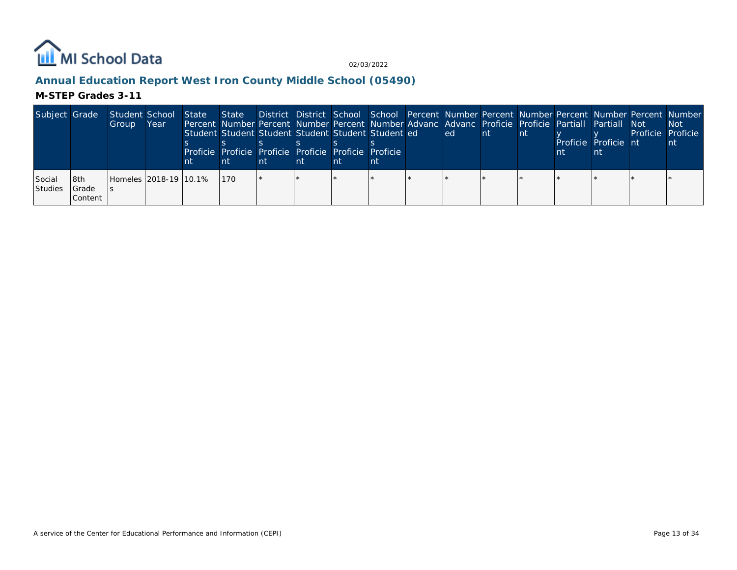

# **Annual Education Report West Iron County Middle School (05490)**

| Subject Grade            |                            | Student School<br>Group | Year | State<br>nt |     | nt | Student Student Student Student Student Student ed<br>Proficie Proficie Proficie Proficie Proficie Proficie<br>nt | nt | Percent Number Percent Number Percent Number Advanc Advanc Proficie Proficie Partiall Partiall Not<br>lled l | ∣nt. | Int. | Proficie Proficie nt | State District District School School Percent Number Percent Number Percent Number Percent Number<br>Proficie Proficie | Not.<br>nt |
|--------------------------|----------------------------|-------------------------|------|-------------|-----|----|-------------------------------------------------------------------------------------------------------------------|----|--------------------------------------------------------------------------------------------------------------|------|------|----------------------|------------------------------------------------------------------------------------------------------------------------|------------|
| Social<br><b>Studies</b> | l8th<br>l Grade<br>Content | Homeles 2018-19 10.1%   |      |             | 170 |    |                                                                                                                   |    |                                                                                                              |      |      |                      |                                                                                                                        |            |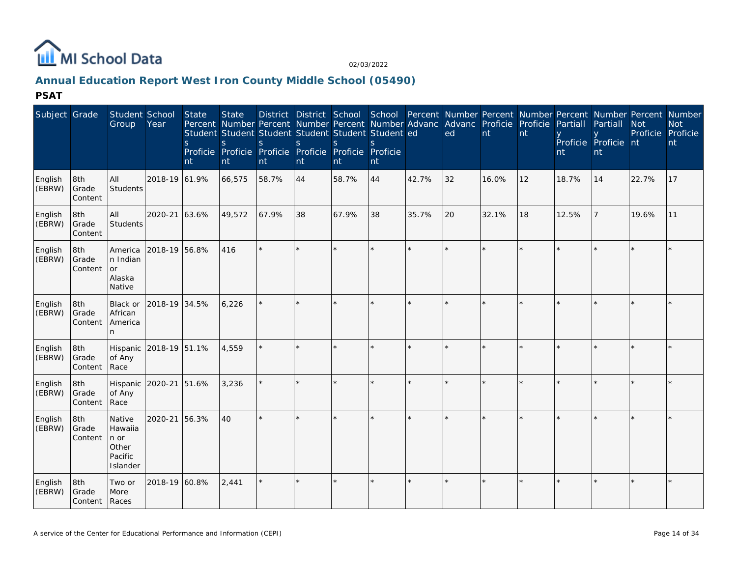

# **Annual Education Report West Iron County Middle School (05490)**

| Subject Grade     |                               | Student School<br>Group                                   | Year                   | State<br><sub>S</sub><br>nt | <b>State</b><br>S<br>nt | <sub>S</sub><br>nt | <sub>S</sub><br>nt | Student Student Student Student Student Student ed<br>$\mathbf S$<br>Proficie Proficie Proficie Proficie Proficie Proficie<br>nt | $\varsigma$<br>nt |         | District District School School Percent Number Percent Number Percent Number Percent Number<br>Percent Number Percent Number Percent Number Advanc Advanc Proficie Proficie<br>ed | nt      | nt      | Partiall<br>nt | Partiall<br>Proficie Proficie nt<br>nt | <b>Not</b><br>Proficie Proficie | <b>Not</b><br>nt |
|-------------------|-------------------------------|-----------------------------------------------------------|------------------------|-----------------------------|-------------------------|--------------------|--------------------|----------------------------------------------------------------------------------------------------------------------------------|-------------------|---------|-----------------------------------------------------------------------------------------------------------------------------------------------------------------------------------|---------|---------|----------------|----------------------------------------|---------------------------------|------------------|
| English<br>(EBRW) | 8th<br>Grade<br>Content       | All<br>Students                                           | 2018-19 61.9%          |                             | 66,575                  | 58.7%              | 44                 | 58.7%                                                                                                                            | 44                | 42.7%   | 32                                                                                                                                                                                | 16.0%   | 12      | 18.7%          | 14                                     | 22.7%                           | 17               |
| English<br>(EBRW) | 8th<br>Grade<br>Content       | All<br><b>Students</b>                                    | 2020-21 63.6%          |                             | 49,572                  | 67.9%              | 38                 | 67.9%                                                                                                                            | 38                | 35.7%   | 20                                                                                                                                                                                | 32.1%   | 18      | 12.5%          |                                        | 19.6%                           | 11               |
| English<br>(EBRW) | 8th<br>Grade<br>Content       | America<br>n Indian<br><b>or</b><br>Alaska<br>Native      | 2018-19 56.8%          |                             | 416                     |                    | ×,                 |                                                                                                                                  |                   | $\star$ |                                                                                                                                                                                   | ÷.      | $\star$ |                |                                        |                                 |                  |
| English<br>(EBRW) | 8th<br>Grade<br>Content       | Black or<br>African<br>America<br>n                       | 2018-19 34.5%          |                             | 6,226                   |                    |                    |                                                                                                                                  |                   |         |                                                                                                                                                                                   |         |         |                |                                        |                                 |                  |
| English<br>(EBRW) | 8th<br>Grade<br>Content       | of Any<br>Race                                            | Hispanic 2018-19 51.1% |                             | 4,559                   |                    |                    |                                                                                                                                  |                   |         |                                                                                                                                                                                   |         |         |                |                                        |                                 |                  |
| English<br>(EBRW) | 8th<br>Grade<br>Content       | of Any<br>Race                                            | Hispanic 2020-21       | 51.6%                       | 3,236                   |                    |                    |                                                                                                                                  |                   |         |                                                                                                                                                                                   | $\star$ | $\star$ |                |                                        |                                 |                  |
| English<br>(EBRW) | 8th<br>Grade<br>Content       | Native<br>Hawaiia<br>n or<br>Other<br>Pacific<br>Islander | 2020-21 56.3%          |                             | 40                      |                    | $\star$            |                                                                                                                                  | $\star$           |         | $\star$                                                                                                                                                                           | $\star$ | $\star$ |                |                                        |                                 |                  |
| English<br>(EBRW) | 8th<br>Grade<br>Content Races | Two or<br>More                                            | 2018-19 60.8%          |                             | 2,441                   |                    | $\star$            |                                                                                                                                  |                   |         |                                                                                                                                                                                   | ÷.      | $\star$ |                |                                        |                                 |                  |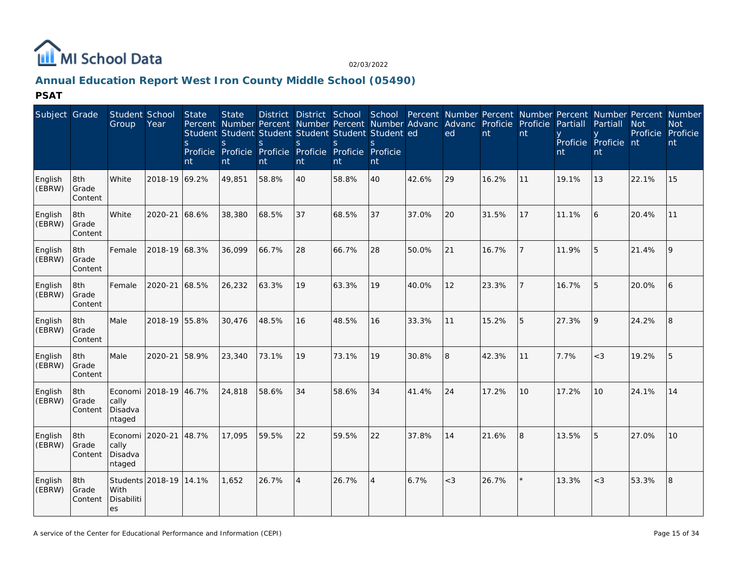

# **Annual Education Report West Iron County Middle School (05490)**

| Subject Grade     |                         | Student School<br>Group               | Year             | <b>State</b><br>S<br>Proficie Proficie<br>nt | <b>State</b><br>S.<br>nt | <b>District</b><br>Percent Number Percent Number Percent Number Advanc<br>Student Student Student Student Student Student ed<br>$\varsigma$<br>Proficie Proficie Proficie Proficie<br>nt | <sub>S</sub><br>nt | District School<br>S.<br>nt | School<br>nt   |       | Percent Number Percent Number Percent Number Percent Number<br>Advanc Proficie<br>ed | nt    | Proficie<br>nt | Partiall<br>nt | Partiall<br>Proficie Proficie nt<br>nt | <b>Not</b><br>Proficie | <b>Not</b><br>Proficie<br>nt |
|-------------------|-------------------------|---------------------------------------|------------------|----------------------------------------------|--------------------------|------------------------------------------------------------------------------------------------------------------------------------------------------------------------------------------|--------------------|-----------------------------|----------------|-------|--------------------------------------------------------------------------------------|-------|----------------|----------------|----------------------------------------|------------------------|------------------------------|
| English<br>(EBRW) | 8th<br>Grade<br>Content | White                                 | 2018-19 69.2%    |                                              | 49,851                   | 58.8%                                                                                                                                                                                    | 40                 | 58.8%                       | 40             | 42.6% | 29                                                                                   | 16.2% | 11             | 19.1%          | 13                                     | 22.1%                  | 15                           |
| English<br>(EBRW) | 8th<br>Grade<br>Content | White                                 | 2020-21 68.6%    |                                              | 38,380                   | 68.5%                                                                                                                                                                                    | 37                 | 68.5%                       | 37             | 37.0% | 20                                                                                   | 31.5% | 17             | 11.1%          | 6                                      | 20.4%                  | 11                           |
| English<br>(EBRW) | 8th<br>Grade<br>Content | Female                                | 2018-19 68.3%    |                                              | 36,099                   | 66.7%                                                                                                                                                                                    | 28                 | 66.7%                       | 28             | 50.0% | 21                                                                                   | 16.7% |                | 11.9%          | 5                                      | 21.4%                  | 9                            |
| English<br>(EBRW) | 8th<br>Grade<br>Content | Female                                | 2020-21 68.5%    |                                              | 26,232                   | 63.3%                                                                                                                                                                                    | 19                 | 63.3%                       | 19             | 40.0% | 12                                                                                   | 23.3% |                | 16.7%          | 5                                      | 20.0%                  | 6                            |
| English<br>(EBRW) | 8th<br>Grade<br>Content | Male                                  | 2018-19 55.8%    |                                              | 30,476                   | 48.5%                                                                                                                                                                                    | 16                 | 48.5%                       | 16             | 33.3% | 11                                                                                   | 15.2% | 5              | 27.3%          | 9                                      | 24.2%                  | 8                            |
| English<br>(EBRW) | 8th<br>Grade<br>Content | Male                                  | 2020-21          | 58.9%                                        | 23,340                   | 73.1%                                                                                                                                                                                    | 19                 | 73.1%                       | 19             | 30.8% | 8                                                                                    | 42.3% | 11             | 7.7%           | $<$ 3                                  | 19.2%                  | 5                            |
| English<br>(EBRW) | 8th<br>Grade<br>Content | Economi<br>cally<br>Disadva<br>ntaged | 2018-19          | 46.7%                                        | 24,818                   | 58.6%                                                                                                                                                                                    | 34                 | 58.6%                       | 34             | 41.4% | 24                                                                                   | 17.2% | 10             | 17.2%          | 10                                     | 24.1%                  | 14                           |
| English<br>(EBRW) | 8th<br>Grade<br>Content | Economi<br>cally<br>Disadva<br>ntaged | 2020-21          | 48.7%                                        | 17.095                   | 59.5%                                                                                                                                                                                    | 22                 | 59.5%                       | 22             | 37.8% | 14                                                                                   | 21.6% | 8              | 13.5%          | 5                                      | 27.0%                  | 10                           |
| English<br>(EBRW) | 8th<br>Grade<br>Content | With<br>Disabiliti<br>es              | Students 2018-19 | 14.1%                                        | 1,652                    | 26.7%                                                                                                                                                                                    | $\overline{A}$     | 26.7%                       | $\overline{4}$ | 6.7%  | $<$ 3                                                                                | 26.7% |                | 13.3%          | $<$ 3                                  | 53.3%                  | 8                            |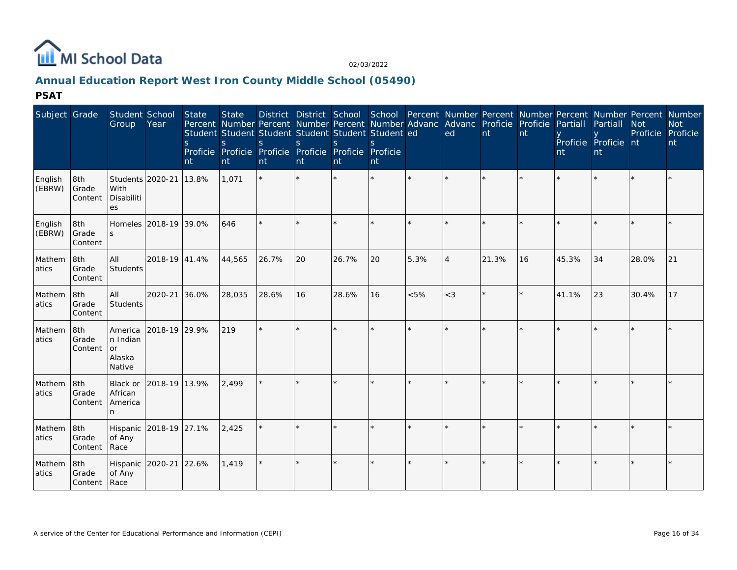

# **Annual Education Report West Iron County Middle School (05490)**

| Subject Grade     |                         | Student School<br>Group                              | Year                   | State<br><sub>S</sub><br>nt | <b>State</b><br><sub>S</sub><br>nt | Percent Number Percent Number Percent Number Advanc Advanc Proficie Proficie Partiall<br>Student Student Student Student Student Student ed<br>S<br>Proficie Proficie Proficie Proficie Proficie<br>nt | <sub>S</sub><br>nt | <sub>S</sub><br>nt | Proficie<br>nt |      | ed             | nt    | nt        | nt    | Partiall<br>Proficie Proficie nt<br>nt | <b>Not</b><br>Proficie Proficie | District District School School Percent Number Percent Number Percent Number Percent Number<br><b>Not</b><br>nt |
|-------------------|-------------------------|------------------------------------------------------|------------------------|-----------------------------|------------------------------------|--------------------------------------------------------------------------------------------------------------------------------------------------------------------------------------------------------|--------------------|--------------------|----------------|------|----------------|-------|-----------|-------|----------------------------------------|---------------------------------|-----------------------------------------------------------------------------------------------------------------|
| English<br>(EBRW) | 8th<br>Grade<br>Content | Students 2020-21<br>With<br>Disabiliti<br>es         |                        | 13.8%                       | 1,071                              | $\star$                                                                                                                                                                                                | $\star$            | $\star$            | $\star$        |      |                |       |           |       |                                        |                                 |                                                                                                                 |
| English<br>(EBRW) | 8th<br>Grade<br>Content | S.                                                   | Homeles 2018-19 39.0%  |                             | 646                                |                                                                                                                                                                                                        |                    | $\star$            | $\star$        |      |                |       |           |       |                                        |                                 |                                                                                                                 |
| Mathem<br>atics   | 8th<br>Grade<br>Content | All<br>Students                                      | 2018-19 41.4%          |                             | 44,565                             | 26.7%                                                                                                                                                                                                  | 20                 | 26.7%              | 20             | 5.3% | $\overline{4}$ | 21.3% | <b>16</b> | 45.3% | 34                                     | 28.0%                           | 21                                                                                                              |
| Mathem<br>atics   | 8th<br>Grade<br>Content | All<br><b>Students</b>                               | 2020-21                | 36.0%                       | 28,035                             | 28.6%                                                                                                                                                                                                  | 16                 | 28.6%              | 16             | < 5% | $<$ 3          |       |           | 41.1% | 23                                     | 30.4%                           | 17                                                                                                              |
| Mathem<br>atics   | 8th<br>Grade<br>Content | America<br>n Indian<br><b>or</b><br>Alaska<br>Native | 2018-19 29.9%          |                             | 219                                |                                                                                                                                                                                                        |                    | $\star$            | $\star$        |      | $\star$        |       |           |       |                                        |                                 |                                                                                                                 |
| Mathem<br>atics   | 8th<br>Grade<br>Content | Black or<br>African<br>America<br>n.                 | 2018-19 13.9%          |                             | 2,499                              |                                                                                                                                                                                                        |                    | $\star$            | $\star$        |      |                |       |           |       |                                        |                                 |                                                                                                                 |
| Mathem<br>atics   | 8th<br>Grade<br>Content | of Any<br>Race                                       | Hispanic 2018-19 27.1% |                             | 2,425                              |                                                                                                                                                                                                        |                    |                    |                |      |                |       |           |       |                                        |                                 |                                                                                                                 |
| Mathem<br>atics   | 8th<br>Grade<br>Content | Hispanic 2020-21<br>of Any<br>Race                   |                        | 22.6%                       | 1,419                              |                                                                                                                                                                                                        |                    | $\star$            | $\star$        |      |                |       |           |       |                                        |                                 |                                                                                                                 |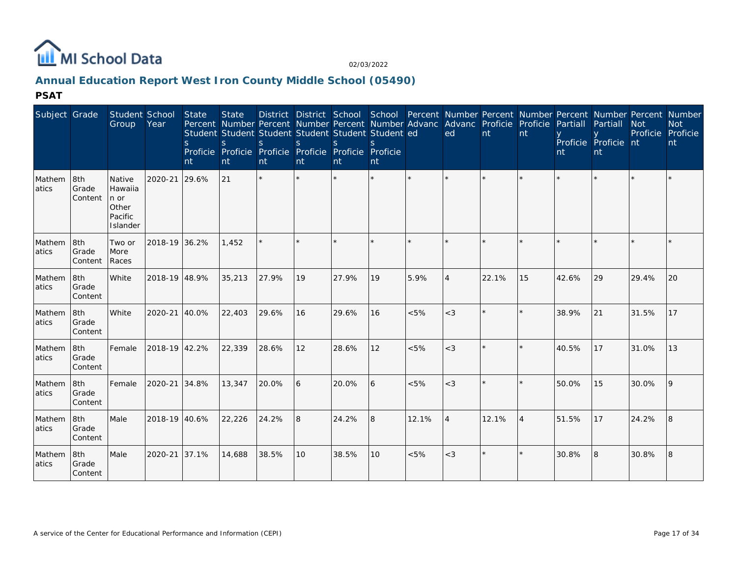

# **Annual Education Report West Iron County Middle School (05490)**

| Subject Grade   |                                | Student School<br>Group                                   | Year          | State<br><sub>S</sub><br>nt | <b>State</b><br>S<br>nt | $\overline{\mathbf{S}}$<br>nt | S<br>nt      | District District School School Percent Number Percent Number Percent Number Percent Number<br>Percent Number Percent Number Percent Number Advanc Advanc Proficie Proficie<br>Student Student Student Student Student Student ed<br>$\mathsf{S}$<br>Proficie Proficie Proficie Proficie Proficie Proficie<br>nt | nt |         | ed                          | nt      | nt             | Partiall<br>nt | Partiall<br>Proficie Proficie nt<br>nt | <b>Not</b><br>Proficie | <b>Not</b><br>Proficie<br>nt |
|-----------------|--------------------------------|-----------------------------------------------------------|---------------|-----------------------------|-------------------------|-------------------------------|--------------|------------------------------------------------------------------------------------------------------------------------------------------------------------------------------------------------------------------------------------------------------------------------------------------------------------------|----|---------|-----------------------------|---------|----------------|----------------|----------------------------------------|------------------------|------------------------------|
| Mathem<br>atics | 8th<br>Grade<br><b>Content</b> | Native<br>Hawaiia<br>n or<br>Other<br>Pacific<br>Islander | 2020-21       | 29.6%                       | 21                      | $\star$                       | $\star$      |                                                                                                                                                                                                                                                                                                                  | ÷. | $\star$ |                             | $\star$ | $\star$        |                |                                        |                        |                              |
| Mathem<br>atics | 8th<br>Grade<br>Content        | Two or<br>More<br>Races                                   | 2018-19 36.2% |                             | 1,452                   |                               |              |                                                                                                                                                                                                                                                                                                                  |    |         |                             |         | ÷.             |                |                                        |                        |                              |
| Mathem<br>atics | 8th<br>Grade<br>l Content      | White                                                     | 2018-19 48.9% |                             | 35,213                  | 27.9%                         | 19           | 27.9%                                                                                                                                                                                                                                                                                                            | 19 | 5.9%    | $\boldsymbol{\vartriangle}$ | 22.1%   | 15             | 42.6%          | 29                                     | 29.4%                  | 20                           |
| Mathem<br>atics | 8th<br>Grade<br>Content        | White                                                     | 2020-21 40.0% |                             | 22,403                  | 29.6%                         | 16           | 29.6%                                                                                                                                                                                                                                                                                                            | 16 | $< 5\%$ | $<$ 3                       |         | $\star$        | 38.9%          | 21                                     | 31.5%                  | 17                           |
| Mathem<br>atics | 8th<br>Grade<br>Content        | Female                                                    | 2018-19 42.2% |                             | 22,339                  | 28.6%                         | 12           | 28.6%                                                                                                                                                                                                                                                                                                            | 12 | $< 5\%$ | $\leq$ 3                    | $\star$ | $\star$        | 40.5%          | 17                                     | 31.0%                  | 13                           |
| Mathem<br>atics | 8th<br>Grade<br>Content        | Female                                                    | 2020-21 34.8% |                             | 13,347                  | 20.0%                         | <sup>6</sup> | 20.0%                                                                                                                                                                                                                                                                                                            | 6  | $< 5\%$ | $<$ 3                       | $\star$ | $\star$        | 50.0%          | 15                                     | 30.0%                  | 9                            |
| Mathem<br>atics | 8th<br>Grade<br>Content        | Male                                                      | 2018-19 40.6% |                             | 22,226                  | 24.2%                         | 8            | 24.2%                                                                                                                                                                                                                                                                                                            | 8  | 12.1%   | $\overline{A}$              | 12.1%   | $\overline{4}$ | 51.5%          | 17                                     | 24.2%                  | 8                            |
| Mathem<br>atics | 8th<br>Grade<br>Content        | Male                                                      | 2020-21 37.1% |                             | 14,688                  | 38.5%                         | 10           | 38.5%                                                                                                                                                                                                                                                                                                            | 10 | < 5%    | $<$ 3                       | $\star$ | $\star$        | 30.8%          | 8                                      | 30.8%                  | 8                            |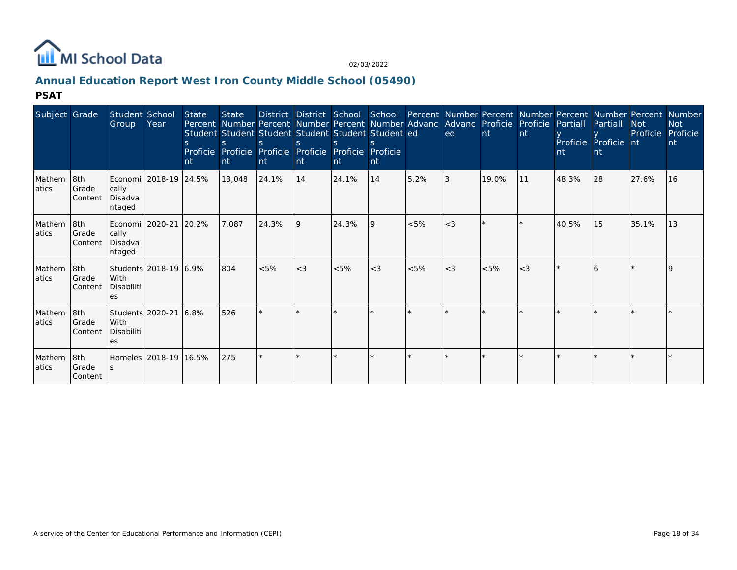

# **Annual Education Report West Iron County Middle School (05490)**

| Subject Grade    |                           | Student School<br>Group                               | Year                  | <b>State</b><br>nt | <b>State</b><br>$\mathcal{S}$<br>Int | nt      | nt    | Student Student Student Student Student Student ed<br>Proficie Proficie Proficie Proficie Proficie<br><b>nt</b> | Proficie<br>nt |      | District District School School Percent Number Percent Number Percent Number Percent Number<br>Percent Number Percent Number Percent Number Advanc Advanc Proficie Proficie<br>ed | Int     | nt      | Partiall<br>nt | Partiall<br>Proficie Proficie nt<br>nt | <b>Not</b><br>Proficie | <b>Not</b><br>Proficie<br>nt |
|------------------|---------------------------|-------------------------------------------------------|-----------------------|--------------------|--------------------------------------|---------|-------|-----------------------------------------------------------------------------------------------------------------|----------------|------|-----------------------------------------------------------------------------------------------------------------------------------------------------------------------------------|---------|---------|----------------|----------------------------------------|------------------------|------------------------------|
| Mathem<br>latics | 8th<br>Grade<br>Content   | cally<br>Disadva<br>ntaged                            | Economi 2018-19 24.5% |                    | 13,048                               | 24.1%   | 14    | 24.1%                                                                                                           | 14             | 5.2% | 3                                                                                                                                                                                 | 19.0%   | 11      | 48.3%          | 28                                     | 27.6%                  | 16                           |
| Mathem<br>atics  | 8th<br>Grade<br>Content   | Economi   2020-21<br>cally<br>Disadva<br>ntaged       |                       | 20.2%              | 7,087                                | 24.3%   | 19    | 24.3%                                                                                                           | <b>9</b>       | < 5% | $<$ 3                                                                                                                                                                             |         |         | 40.5%          | 15                                     | 35.1%                  | 13                           |
| Mathem<br>latics | 8th<br>Grade<br>Content   | With<br>Disabiliti<br>es                              | Students 2018-19 6.9% |                    | 804                                  | < 5%    | $<$ 3 | < 5%                                                                                                            | $<$ 3          | < 5% | $<$ 3                                                                                                                                                                             | < 5%    | $<$ 3   |                | $\epsilon$                             |                        |                              |
| Mathem<br>atics  | 8th<br>l Grade<br>Content | Students 2020-21<br>l With<br>Disabiliti<br><b>es</b> |                       | 6.8%               | 526                                  | $\star$ |       |                                                                                                                 |                |      |                                                                                                                                                                                   | $\star$ |         |                |                                        |                        |                              |
| Mathem<br>latics | 8th<br>Grade<br>Content   | S.                                                    | Homeles 2018-19 16.5% |                    | 275                                  | $\star$ |       |                                                                                                                 |                |      |                                                                                                                                                                                   | $\star$ | $\star$ |                |                                        |                        |                              |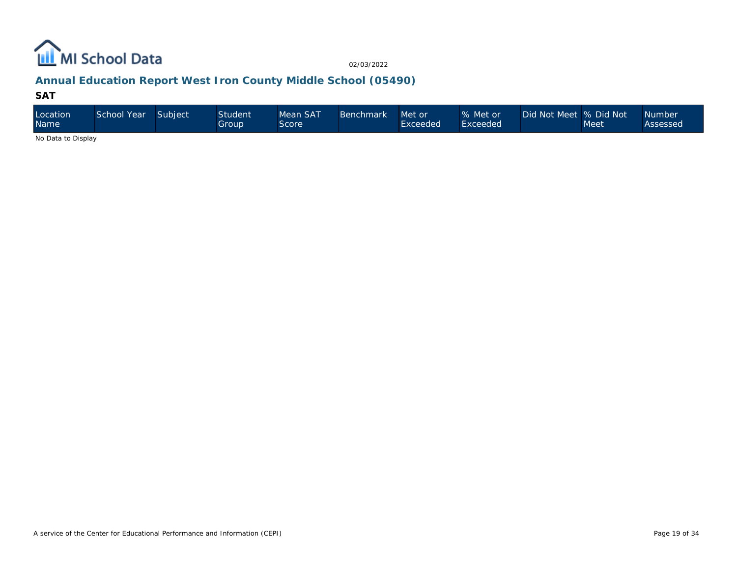

# **Annual Education Report West Iron County Middle School (05490)**

#### **SAT**

| Location<br><b>Name</b>                                                                   | School Year | Subject | <b>Student</b><br>Group | Mean SAT<br>Score | Benchmark | Met or<br>Exceeded | % Met or<br>Exceeded | Did Not Meet % Did Not | Meet | <b>Number</b><br>Assessed |
|-------------------------------------------------------------------------------------------|-------------|---------|-------------------------|-------------------|-----------|--------------------|----------------------|------------------------|------|---------------------------|
| $\mathbf{A}$ . $\mathbf{B}$ . $\mathbf{A}$ . $\mathbf{B}$ . $\mathbf{B}$ . $\mathbf{A}$ . |             |         |                         |                   |           |                    |                      |                        |      |                           |

No Data to Display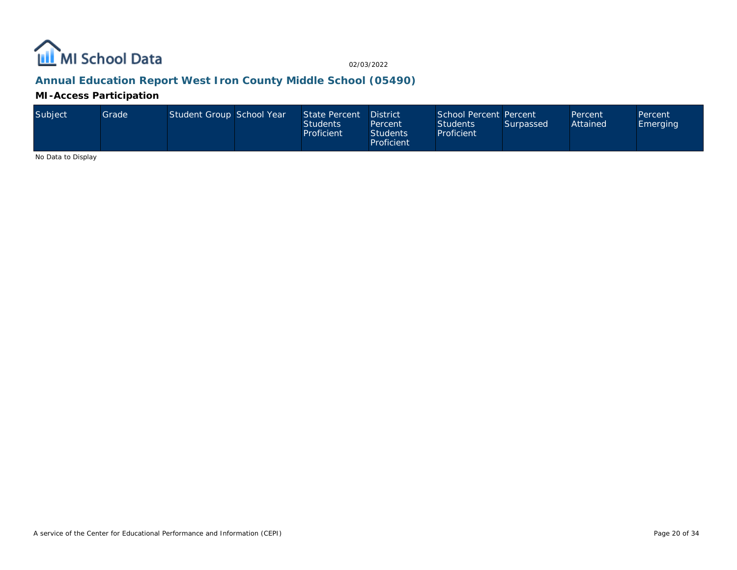

# **Annual Education Report West Iron County Middle School (05490)**

**MI-Access Participation**

| Subject | Grade | Student Group School Year |  | State Percent<br><b>Students</b><br>Proficient | <b>District</b><br>Percent<br><b>Students</b><br>Proficient | School Percent Percent<br><b>Students</b><br>Proficient | Surpassed | Percent<br>Attained | Percent<br><b>Emerging</b> |
|---------|-------|---------------------------|--|------------------------------------------------|-------------------------------------------------------------|---------------------------------------------------------|-----------|---------------------|----------------------------|
|---------|-------|---------------------------|--|------------------------------------------------|-------------------------------------------------------------|---------------------------------------------------------|-----------|---------------------|----------------------------|

No Data to Display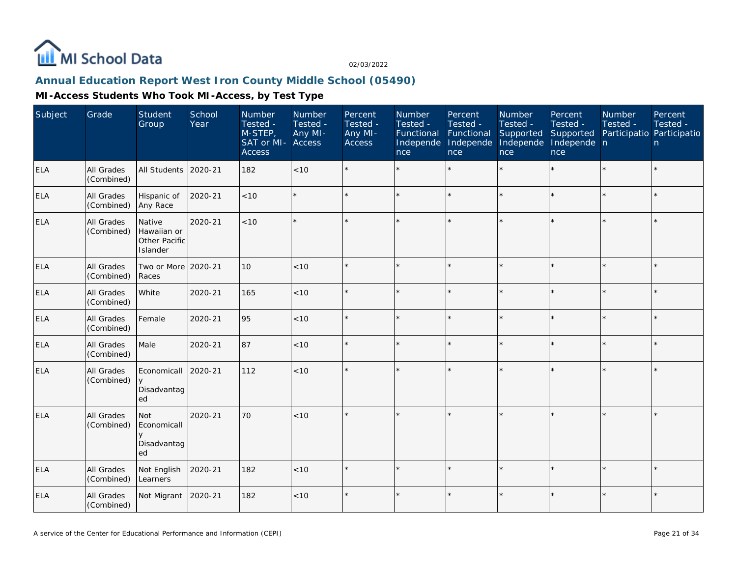

# **Annual Education Report West Iron County Middle School (05490)**

| Subject    | Grade                           | Student<br>Group                                   | School<br>Year | Number<br>Tested -<br>M-STEP,<br>SAT or MI-<br><b>Access</b> | Number<br>Tested -<br>Any MI-<br>Access | Percent<br>Tested -<br>Any MI-<br>Access | Number<br>Tested -<br>Functional<br>Independe<br>nce | Percent<br>Tested -<br>Functional<br>Independe<br>nce | Number<br>Tested -<br>Supported<br>Independe<br>nce | Percent<br>Tested -<br>Supported<br>Independe n<br>nce | Number<br>Tested -<br>Participatio Participatio | Percent<br>Tested -<br>n |
|------------|---------------------------------|----------------------------------------------------|----------------|--------------------------------------------------------------|-----------------------------------------|------------------------------------------|------------------------------------------------------|-------------------------------------------------------|-----------------------------------------------------|--------------------------------------------------------|-------------------------------------------------|--------------------------|
| <b>ELA</b> | All Grades<br>(Combined)        | All Students                                       | 2020-21        | 182                                                          | <10                                     | $\star$                                  |                                                      | $\star$                                               | $\star$                                             |                                                        |                                                 | $\star$                  |
| <b>ELA</b> | All Grades<br>(Combined)        | Hispanic of<br>Any Race                            | 2020-21        | < 10                                                         |                                         | $\star$                                  |                                                      | $\star$                                               | $\star$                                             | $\star$                                                |                                                 | $\star$                  |
| <b>ELA</b> | <b>All Grades</b><br>(Combined) | Native<br>Hawaiian or<br>Other Pacific<br>Islander | 2020-21        | < 10                                                         |                                         |                                          |                                                      | $\star$                                               |                                                     |                                                        |                                                 | $\star$                  |
| <b>ELA</b> | All Grades<br>(Combined)        | Two or More 2020-21<br>Races                       |                | 10                                                           | < 10                                    | $\star$                                  | ų.                                                   | $\star$                                               | ý,                                                  |                                                        |                                                 | $\star$                  |
| <b>ELA</b> | <b>All Grades</b><br>(Combined) | White                                              | 2020-21        | 165                                                          | < 10                                    | $\star$                                  |                                                      | $\star$                                               | ÷                                                   | ×.                                                     |                                                 | $\star$                  |
| <b>ELA</b> | <b>All Grades</b><br>(Combined) | Female                                             | 2020-21        | 95                                                           | < 10                                    |                                          |                                                      | $\star$                                               |                                                     |                                                        |                                                 | $\star$                  |
| <b>ELA</b> | All Grades<br>(Combined)        | Male                                               | 2020-21        | 87                                                           | < 10                                    | $\star$                                  | $\star$                                              | $\star$                                               | ÷                                                   |                                                        | $\star$                                         | $\star$                  |
| <b>ELA</b> | All Grades<br>(Combined)        | Economicall<br>y<br>Disadvantag<br>ed              | 2020-21        | 112                                                          | <10                                     |                                          |                                                      |                                                       |                                                     | ×                                                      |                                                 | $\star$                  |
| <b>ELA</b> | All Grades<br>(Combined)        | Not<br>Economicall<br>$\vee$<br>Disadvantag<br>ed  | 2020-21        | 70                                                           | < 10                                    |                                          |                                                      | ÷                                                     |                                                     |                                                        |                                                 | $\star$                  |
| <b>ELA</b> | All Grades<br>(Combined)        | Not English<br>Learners                            | 2020-21        | 182                                                          | < 10                                    |                                          |                                                      | $\star$                                               | ý,                                                  |                                                        |                                                 | ÷.                       |
| <b>ELA</b> | All Grades<br>(Combined)        | Not Migrant                                        | 2020-21        | 182                                                          | < 10                                    | $\star$                                  | $\star$                                              | $\star$                                               | $\star$                                             | ×.                                                     |                                                 | $\star$                  |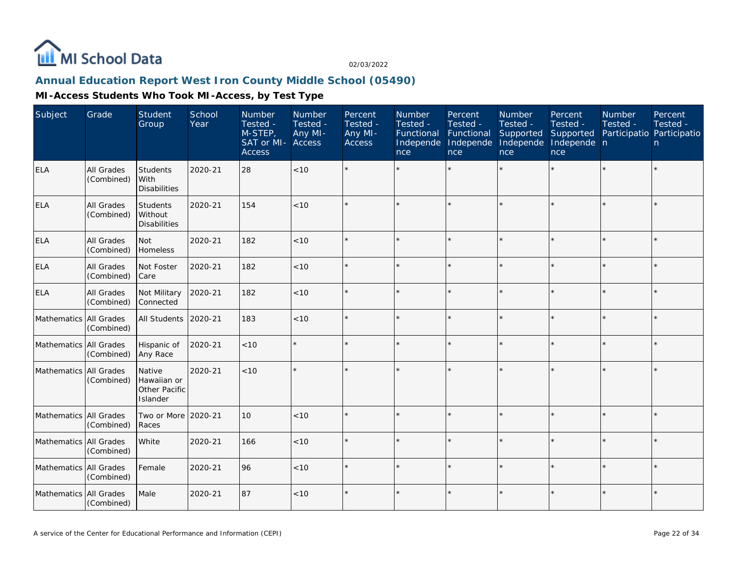

## **Annual Education Report West Iron County Middle School (05490)**

| Subject                | Grade                    | Student<br>Group                                   | School<br>Year | <b>Number</b><br>Tested -<br>M-STEP,<br>SAT or MI-<br><b>Access</b> | Number<br>Tested -<br>Any MI-<br>Access | Percent<br>Tested -<br>Any MI-<br>Access | Number<br>Tested -<br>Functional<br>Independe<br>nce | Percent<br>Tested -<br>Functional<br>Independe<br>nce | Number<br>Tested -<br>Supported<br>Independe<br>nce | Percent<br>Tested -<br>Supported<br>Independe n<br>nce | <b>Number</b><br>Tested -<br>Participatio Participatio | Percent<br>Tested -<br>n. |
|------------------------|--------------------------|----------------------------------------------------|----------------|---------------------------------------------------------------------|-----------------------------------------|------------------------------------------|------------------------------------------------------|-------------------------------------------------------|-----------------------------------------------------|--------------------------------------------------------|--------------------------------------------------------|---------------------------|
| <b>ELA</b>             | All Grades<br>(Combined) | Students<br>With<br><b>Disabilities</b>            | 2020-21        | 28                                                                  | < 10                                    |                                          |                                                      |                                                       |                                                     |                                                        |                                                        | $\star$                   |
| ELA                    | All Grades<br>(Combined) | Students<br>Without<br><b>Disabilities</b>         | 2020-21        | 154                                                                 | < 10                                    |                                          |                                                      |                                                       |                                                     |                                                        |                                                        | $\star$                   |
| <b>ELA</b>             | All Grades<br>(Combined) | Not<br>Homeless                                    | 2020-21        | 182                                                                 | < 10                                    |                                          |                                                      |                                                       |                                                     | sk.                                                    |                                                        | $\star$                   |
| <b>ELA</b>             | All Grades<br>(Combined) | Not Foster<br>Care                                 | 2020-21        | 182                                                                 | < 10                                    |                                          |                                                      |                                                       |                                                     |                                                        |                                                        | $\star$                   |
| <b>ELA</b>             | All Grades<br>(Combined) | Not Military<br>Connected                          | 2020-21        | 182                                                                 | < 10                                    |                                          |                                                      |                                                       |                                                     |                                                        |                                                        | $\star$                   |
| Mathematics All Grades | (Combined)               | All Students                                       | 2020-21        | 183                                                                 | < 10                                    |                                          |                                                      |                                                       |                                                     |                                                        |                                                        | $\star$                   |
| Mathematics All Grades | (Combined)               | Hispanic of<br>Any Race                            | 2020-21        | $<10$                                                               |                                         |                                          |                                                      |                                                       |                                                     |                                                        |                                                        | $\star$                   |
| Mathematics All Grades | (Combined)               | Native<br>Hawaiian or<br>Other Pacific<br>Islander | 2020-21        | < 10                                                                |                                         |                                          |                                                      |                                                       |                                                     |                                                        |                                                        | $\star$                   |
| Mathematics All Grades | (Combined)               | Two or More<br>Races                               | 2020-21        | 10                                                                  | < 10                                    |                                          |                                                      |                                                       |                                                     |                                                        |                                                        | $\star$                   |
| Mathematics All Grades | (Combined)               | White                                              | 2020-21        | 166                                                                 | < 10                                    |                                          |                                                      |                                                       |                                                     |                                                        |                                                        | $\star$                   |
| Mathematics All Grades | (Combined)               | Female                                             | 2020-21        | 96                                                                  | < 10                                    |                                          |                                                      |                                                       |                                                     |                                                        |                                                        | $\star$                   |
| Mathematics All Grades | (Combined)               | Male                                               | 2020-21        | 87                                                                  | < 10                                    |                                          |                                                      |                                                       |                                                     |                                                        |                                                        | $\star$                   |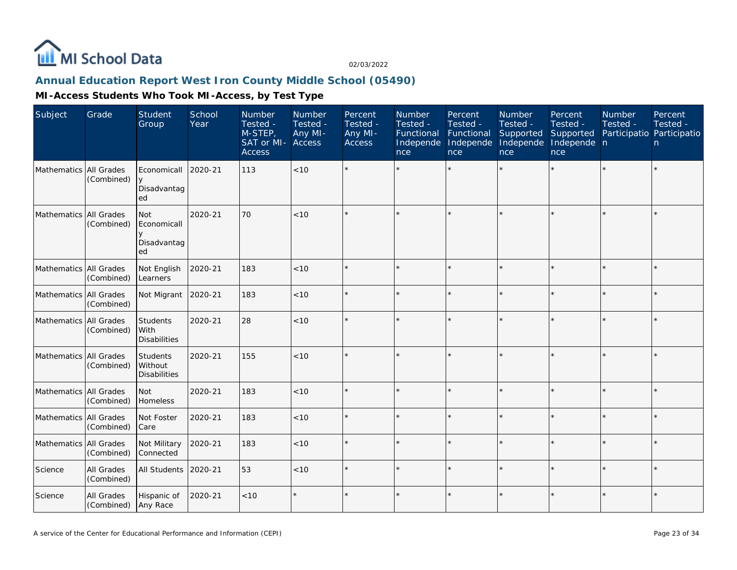

## **Annual Education Report West Iron County Middle School (05490)**

| Subject                | Grade                    | Student<br>Group                                    | School<br>Year | Number<br>Tested -<br>M-STEP,<br>SAT or MI-<br><b>Access</b> | <b>Number</b><br>Tested -<br>Any MI-<br><b>Access</b> | Percent<br>Tested -<br>Any MI-<br><b>Access</b> | Number<br>Tested -<br>Functional<br>Independe<br>nce | Percent<br>Tested -<br>Functional<br>Independe<br>nce | Number<br>Tested -<br>Supported<br>Independe<br>nce | Percent<br>Tested -<br>Supported<br>Independe n<br>nce | <b>Number</b><br>Tested -<br>Participatio Participatio | Percent<br>Tested -<br>n. |
|------------------------|--------------------------|-----------------------------------------------------|----------------|--------------------------------------------------------------|-------------------------------------------------------|-------------------------------------------------|------------------------------------------------------|-------------------------------------------------------|-----------------------------------------------------|--------------------------------------------------------|--------------------------------------------------------|---------------------------|
| Mathematics All Grades | (Combined)               | Economicall<br>$\vee$<br>Disadvantag<br>ed          | 2020-21        | 113                                                          | < 10                                                  |                                                 |                                                      |                                                       |                                                     |                                                        |                                                        | $\star$                   |
| Mathematics All Grades | (Combined)               | <b>Not</b><br>Economicall<br>V<br>Disadvantag<br>ed | 2020-21        | 70                                                           | < 10                                                  |                                                 |                                                      |                                                       |                                                     | $\star$                                                |                                                        | $\star$                   |
| Mathematics All Grades | (Combined)               | Not English<br>Learners                             | 2020-21        | 183                                                          | < 10                                                  |                                                 |                                                      | $\star$                                               |                                                     | $\star$                                                | $\star$                                                | $\star$                   |
| Mathematics All Grades | (Combined)               | Not Migrant                                         | 2020-21        | 183                                                          | < 10                                                  |                                                 |                                                      |                                                       |                                                     |                                                        |                                                        | $\star$                   |
| Mathematics All Grades | (Combined)               | Students<br>With<br><b>Disabilities</b>             | 2020-21        | 28                                                           | $<10$                                                 |                                                 |                                                      | $\star$                                               |                                                     |                                                        |                                                        | $\star$                   |
| Mathematics All Grades | (Combined)               | Students<br>l Without<br><b>Disabilities</b>        | 2020-21        | 155                                                          | < 10                                                  |                                                 |                                                      | $\star$                                               |                                                     |                                                        |                                                        | $\star$                   |
| Mathematics All Grades | (Combined)               | <b>Not</b><br>Homeless                              | 2020-21        | 183                                                          | $<10$                                                 |                                                 |                                                      | $\star$                                               |                                                     | $\star$                                                | $\star$                                                | $\star$                   |
| Mathematics All Grades | (Combined)               | Not Foster<br>Care                                  | 2020-21        | 183                                                          | < 10                                                  |                                                 |                                                      |                                                       |                                                     | $\star$                                                |                                                        | $\star$                   |
| Mathematics All Grades | (Combined)               | Not Military<br>Connected                           | 2020-21        | 183                                                          | < 10                                                  |                                                 |                                                      | $\star$                                               |                                                     |                                                        |                                                        | $\star$                   |
| Science                | All Grades<br>(Combined) | All Students                                        | 2020-21        | 53                                                           | < 10                                                  |                                                 |                                                      | $\star$                                               | ÷,                                                  | $\star$                                                |                                                        | ÷.                        |
| Science                | All Grades<br>(Combined) | Hispanic of<br>Any Race                             | 2020-21        | < 10                                                         | $\star$                                               |                                                 |                                                      | $\star$                                               |                                                     |                                                        |                                                        | $\star$                   |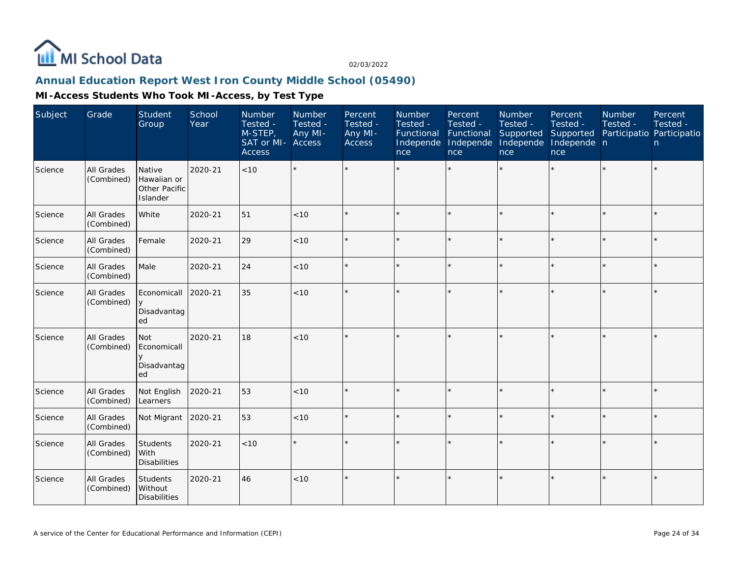

## **Annual Education Report West Iron County Middle School (05490)**

| Subject | Grade                           | Student<br>Group                                   | School<br>Year | Number<br>Tested -<br>M-STEP,<br>SAT or MI-<br><b>Access</b> | Number<br>Tested -<br>Any MI-<br>Access | Percent<br>Tested -<br>Any MI-<br>Access | Number<br>Tested -<br>Functional<br>Independe<br>nce | Percent<br>Tested -<br>Functional<br>Independe<br>nce | Number<br>Tested -<br>Supported<br>Independe<br>nce | Percent<br>Tested -<br>Supported<br>Independe n<br>nce | Number<br>Tested - | Percent<br>Tested -<br>Participatio Participatio<br>n |
|---------|---------------------------------|----------------------------------------------------|----------------|--------------------------------------------------------------|-----------------------------------------|------------------------------------------|------------------------------------------------------|-------------------------------------------------------|-----------------------------------------------------|--------------------------------------------------------|--------------------|-------------------------------------------------------|
| Science | All Grades<br>(Combined)        | Native<br>Hawaiian or<br>Other Pacific<br>Islander | 2020-21        | < 10                                                         |                                         |                                          |                                                      |                                                       |                                                     |                                                        | $\star$            | $\star$                                               |
| Science | All Grades<br>(Combined)        | White                                              | 2020-21        | 51                                                           | < 10                                    |                                          |                                                      |                                                       |                                                     | $\star$                                                | $\star$            | $\star$                                               |
| Science | <b>All Grades</b><br>(Combined) | Female                                             | 2020-21        | 29                                                           | < 10                                    |                                          |                                                      | $\star$                                               |                                                     | $\star$                                                | $\star$            | $\star$                                               |
| Science | All Grades<br>(Combined)        | Male                                               | 2020-21        | 24                                                           | < 10                                    |                                          |                                                      |                                                       |                                                     | $\star$                                                |                    | $\star$                                               |
| Science | All Grades<br>(Combined)        | Economicall<br>$\mathsf{v}$<br>Disadvantag<br>ed   | 2020-21        | 35                                                           | <10                                     |                                          |                                                      |                                                       |                                                     | $\star$                                                | ÷                  | $\star$                                               |
| Science | All Grades<br>(Combined)        | Not<br>Economicall<br>Disadvantag<br>ed            | 2020-21        | 18                                                           | < 10                                    |                                          |                                                      |                                                       |                                                     | $\star$                                                |                    | $\star$                                               |
| Science | All Grades<br>(Combined)        | Not English<br>Learners                            | 2020-21        | 53                                                           | <10                                     |                                          |                                                      | $\star$                                               |                                                     |                                                        |                    | $\star$                                               |
| Science | All Grades<br>(Combined)        | Not Migrant                                        | 2020-21        | 53                                                           | < 10                                    |                                          |                                                      | $\star$                                               |                                                     | $\star$                                                | $\star$            | $\star$                                               |
| Science | All Grades<br>(Combined)        | Students<br>With<br><b>Disabilities</b>            | 2020-21        | < 10                                                         |                                         |                                          |                                                      |                                                       |                                                     |                                                        |                    | $\star$                                               |
| Science | All Grades<br>(Combined)        | Students<br>Without<br><b>Disabilities</b>         | 2020-21        | 46                                                           | < 10                                    | $\star$                                  |                                                      |                                                       |                                                     | $\star$                                                | $\star$            | $\star$                                               |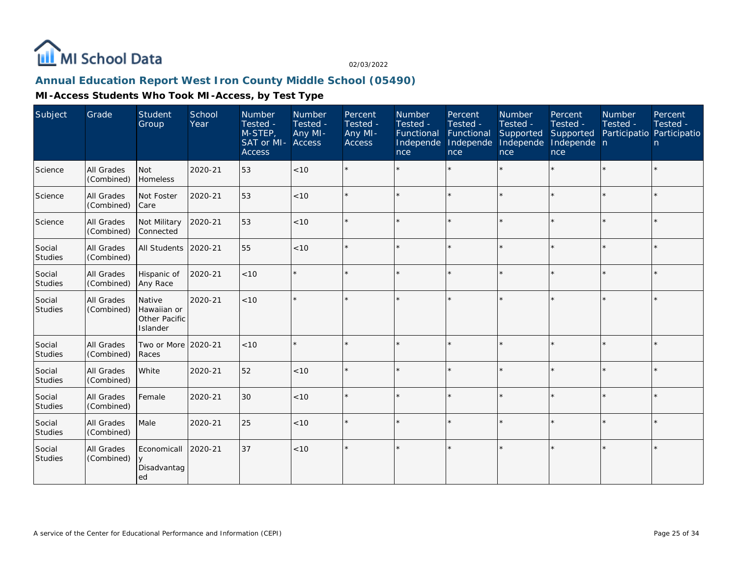

## **Annual Education Report West Iron County Middle School (05490)**

| Subject                  | Grade                           | Student<br>Group                                   | School<br>Year | Number<br>Tested -<br>M-STEP,<br>SAT or MI- Access<br><b>Access</b> | Number<br>Tested -<br>Any MI- | Percent<br>Tested -<br>Any MI-<br><b>Access</b> | Number<br>Tested -<br>Functional<br>Independe<br>nce | Percent<br>Tested -<br>Functional<br>Independe<br><b>nce</b> | Number<br>Tested -<br>Supported<br>Independe<br>nce | Percent<br>Tested -<br>Supported<br>Independe n<br>nce | <b>Number</b><br>Tested -<br>Participatio Participatio | Percent<br>Tested -<br>n |
|--------------------------|---------------------------------|----------------------------------------------------|----------------|---------------------------------------------------------------------|-------------------------------|-------------------------------------------------|------------------------------------------------------|--------------------------------------------------------------|-----------------------------------------------------|--------------------------------------------------------|--------------------------------------------------------|--------------------------|
| Science                  | All Grades<br>(Combined)        | <b>Not</b><br>Homeless                             | 2020-21        | 53                                                                  | < 10                          |                                                 |                                                      |                                                              |                                                     |                                                        |                                                        | $\star$                  |
| Science                  | <b>All Grades</b><br>(Combined) | Not Foster<br>Care                                 | 2020-21        | 53                                                                  | < 10                          |                                                 |                                                      | $\star$                                                      |                                                     |                                                        |                                                        | $\star$                  |
| Science                  | All Grades<br>(Combined)        | Not Military<br>Connected                          | 2020-21        | 53                                                                  | < 10                          | $\star$                                         |                                                      | $\star$                                                      |                                                     |                                                        |                                                        | $\star$                  |
| Social<br><b>Studies</b> | All Grades<br>(Combined)        | All Students                                       | 2020-21        | 55                                                                  | < 10                          |                                                 |                                                      | $\star$                                                      | ý,                                                  |                                                        |                                                        | $\star$                  |
| Social<br>Studies        | <b>All Grades</b><br>(Combined) | Hispanic of<br>Any Race                            | 2020-21        | < 10                                                                |                               |                                                 |                                                      | $\star$                                                      |                                                     |                                                        |                                                        | $\star$                  |
| Social<br>Studies        | <b>All Grades</b><br>(Combined) | Native<br>Hawaiian or<br>Other Pacific<br>Islander | 2020-21        | < 10                                                                |                               | $\star$                                         |                                                      | $\star$                                                      |                                                     |                                                        |                                                        | $\star$                  |
| Social<br>Studies        | <b>All Grades</b><br>(Combined) | Two or More<br>Races                               | 2020-21        | < 10                                                                |                               |                                                 |                                                      |                                                              |                                                     |                                                        |                                                        | $\star$                  |
| Social<br>Studies        | <b>All Grades</b><br>(Combined) | White                                              | 2020-21        | 52                                                                  | < 10                          | $\star$                                         |                                                      | $\star$                                                      |                                                     |                                                        | $\star$                                                | $\star$                  |
| Social<br>Studies        | <b>All Grades</b><br>(Combined) | Female                                             | 2020-21        | 30                                                                  | < 10                          | $\star$                                         | $\star$                                              | $\star$                                                      | $\star$                                             |                                                        |                                                        | $\star$                  |
| Social<br>Studies        | <b>All Grades</b><br>(Combined) | Male                                               | 2020-21        | 25                                                                  | < 10                          | $\star$                                         |                                                      | $\star$                                                      |                                                     |                                                        |                                                        | $\star$                  |
| Social<br>Studies        | <b>All Grades</b><br>(Combined) | Economicall<br>V<br>Disadvantag<br>ed              | 2020-21        | 37                                                                  | < 10                          | $\star$                                         |                                                      | $\star$                                                      |                                                     |                                                        |                                                        | $\star$                  |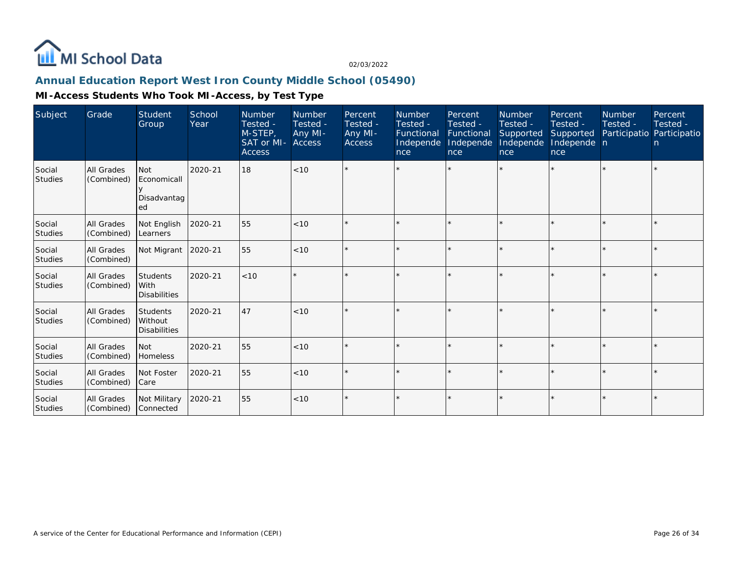

## **Annual Education Report West Iron County Middle School (05490)**

| Subject                  | Grade                           | Student<br>Group                                  | School<br>Year | <b>Number</b><br>Tested -<br>M-STEP,<br>SAT or MI-<br><b>Access</b> | Number<br>Tested -<br>Any MI-<br>Access | Percent<br>Tested -<br>Any MI-<br><b>Access</b> | <b>Number</b><br>Tested -<br>Functional<br>Independe<br>nce | Percent<br>Tested -<br>Functional<br>Independe<br>nce | Number<br>Tested -<br>Supported<br>Independe<br>nce | Percent<br>Tested -<br>Supported<br>Independe n<br>nce | Number<br>Tested - | Percent<br>Tested -<br>Participatio Participatio<br>n. |
|--------------------------|---------------------------------|---------------------------------------------------|----------------|---------------------------------------------------------------------|-----------------------------------------|-------------------------------------------------|-------------------------------------------------------------|-------------------------------------------------------|-----------------------------------------------------|--------------------------------------------------------|--------------------|--------------------------------------------------------|
| Social<br>Studies        | <b>All Grades</b><br>(Combined) | <b>Not</b><br>Economicall<br>Disadvantag<br>ed    | 2020-21        | 18                                                                  | < 10                                    |                                                 |                                                             |                                                       |                                                     |                                                        |                    | $\star$                                                |
| Social<br><b>Studies</b> | All Grades<br>(Combined)        | Not English<br>Learners                           | 2020-21        | 55                                                                  | < 10                                    | $\star$                                         |                                                             |                                                       |                                                     |                                                        |                    | $\star$                                                |
| Social<br><b>Studies</b> | All Grades<br>(Combined)        | Not Migrant                                       | 2020-21        | 55                                                                  | < 10                                    | $\star$                                         |                                                             |                                                       |                                                     |                                                        |                    | $\star$                                                |
| Social<br>Studies        | All Grades<br>(Combined)        | <b>Students</b><br>l With<br><b>Disabilities</b>  | 2020-21        | < 10                                                                |                                         |                                                 |                                                             |                                                       |                                                     |                                                        |                    | $\star$                                                |
| Social<br>Studies        | All Grades<br>(Combined)        | <b>Students</b><br>Without<br><b>Disabilities</b> | 2020-21        | 47                                                                  | < 10                                    |                                                 |                                                             |                                                       |                                                     |                                                        |                    | ÷.                                                     |
| Social<br>Studies        | <b>All Grades</b><br>(Combined) | l Not<br><b>Homeless</b>                          | 2020-21        | 55                                                                  | < 10                                    | $\star$                                         |                                                             |                                                       |                                                     |                                                        |                    | $\star$                                                |
| Social<br>Studies        | All Grades<br>(Combined)        | Not Foster<br>l Care                              | 2020-21        | 55                                                                  | < 10                                    | $\star$                                         |                                                             |                                                       | $\star$                                             |                                                        |                    | $\star$                                                |
| Social<br>Studies        | All Grades<br>(Combined)        | Not Military<br>l Connected                       | 2020-21        | 55                                                                  | < 10                                    |                                                 |                                                             |                                                       |                                                     |                                                        |                    | $\star$                                                |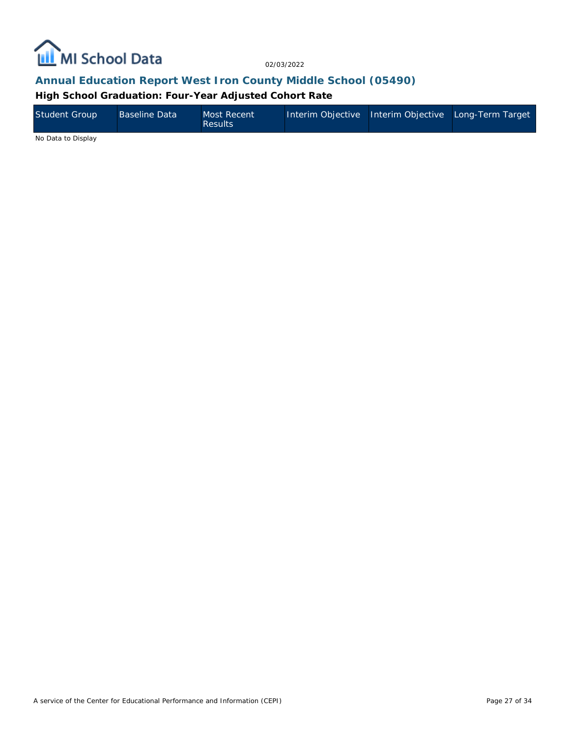

## **Annual Education Report West Iron County Middle School (05490)**

**High School Graduation: Four-Year Adjusted Cohort Rate**

| Student Group | <b>Baseline Data</b> | Most Recent<br><b>Results</b> | Interim Objective Interim Objective Long-Term Target |  |
|---------------|----------------------|-------------------------------|------------------------------------------------------|--|
| .             |                      |                               |                                                      |  |

No Data to Display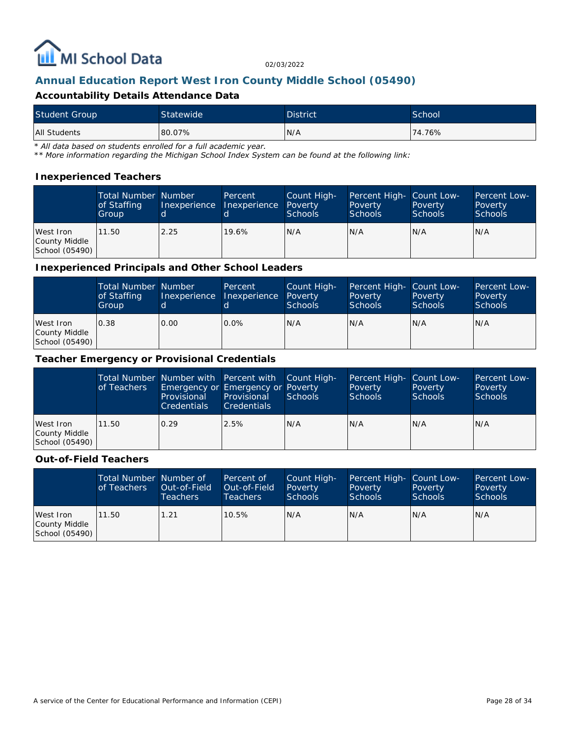

## **Annual Education Report West Iron County Middle School (05490)**

### **Accountability Details Attendance Data**

| <b>Student Group</b> | Statewide | <b>District</b> | School |
|----------------------|-----------|-----------------|--------|
| <b>All Students</b>  | 80.07%    | N/A             | 74.76% |

*\* All data based on students enrolled for a full academic year.*

*\*\* More information regarding the Michigan School Index System can be found at the following link:*

#### **Inexperienced Teachers**

|                                              | <b>Total Number Number</b><br>of Staffing<br>Group | Inexperience | Percent<br>Inexperience | Count High-<br>Poverty<br>Schools | Percent High- Count Low-<br>Poverty<br><b>Schools</b> | Poverty<br><b>Schools</b> | Percent Low-<br>Poverty<br><b>Schools</b> |
|----------------------------------------------|----------------------------------------------------|--------------|-------------------------|-----------------------------------|-------------------------------------------------------|---------------------------|-------------------------------------------|
| West Iron<br>County Middle<br>School (05490) | 11.50                                              | 2.25         | 19.6%                   | N/A                               | N/A                                                   | IN/A                      | IN/A                                      |

#### **Inexperienced Principals and Other School Leaders**

|                                              | <b>Total Number Number</b><br>of Staffing<br>Group | Inexperience | Percent<br>Inexperience | Count High-<br>Poverty<br><b>Schools</b> | Percent High- Count Low-<br>Poverty<br><b>Schools</b> | Poverty<br><b>Schools</b> | Percent Low-<br>Poverty<br><b>Schools</b> |
|----------------------------------------------|----------------------------------------------------|--------------|-------------------------|------------------------------------------|-------------------------------------------------------|---------------------------|-------------------------------------------|
| West Iron<br>County Middle<br>School (05490) | 0.38                                               | 0.00         | $0.0\%$                 | N/A                                      | N/A                                                   | N/A                       | IN/A                                      |

#### **Teacher Emergency or Provisional Credentials**

|                                              | of Teachers | Total Number Number with Percent with Count High-<br>Emergency or Emergency or Poverty<br>Provisional<br><b>Credentials</b> | Provisional<br><b>Credentials</b> | Schools | Percent High- Count Low-<br>Poverty<br>Schools | Poverty<br>Schools | Percent Low-<br>Poverty<br>Schools |
|----------------------------------------------|-------------|-----------------------------------------------------------------------------------------------------------------------------|-----------------------------------|---------|------------------------------------------------|--------------------|------------------------------------|
| West Iron<br>County Middle<br>School (05490) | 11.50       | 0.29                                                                                                                        | 2.5%                              | IN/A    | N/A                                            | N/A                | IN/A                               |

#### **Out-of-Field Teachers**

|                                              | Total Number Number of<br>of Teachers | Out-of-Field<br><b>Teachers</b> | Percent of<br>Out-of-Field<br>Teachers | Count High-<br>Poverty<br>Schools | Percent High- Count Low-<br>Poverty<br><b>Schools</b> | Poverty<br><b>Schools</b> | Percent Low-<br>Poverty<br>Schools |
|----------------------------------------------|---------------------------------------|---------------------------------|----------------------------------------|-----------------------------------|-------------------------------------------------------|---------------------------|------------------------------------|
| West Iron<br>County Middle<br>School (05490) | 11.50                                 | 1.21                            | 10.5%                                  | N/A                               | N/A                                                   | IN/A                      | IN/A                               |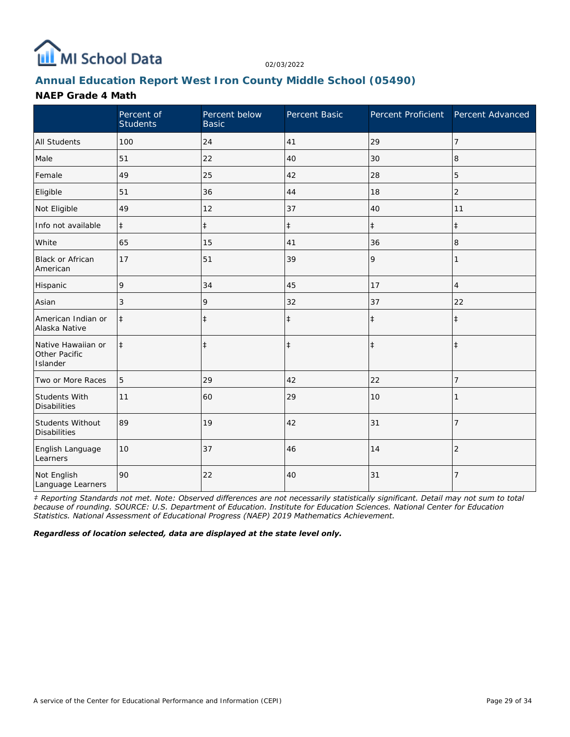

# **Annual Education Report West Iron County Middle School (05490)**

### **NAEP Grade 4 Math**

|                                                 | Percent of<br><b>Students</b> | Percent below<br><b>Basic</b> | Percent Basic | Percent Proficient Percent Advanced |                |
|-------------------------------------------------|-------------------------------|-------------------------------|---------------|-------------------------------------|----------------|
| <b>All Students</b>                             | 100                           | 24                            | 41            | 29                                  | 7              |
| Male                                            | 51                            | 22                            | 40            | 30                                  | 8              |
| Female                                          | 49                            | 25                            | 42            | 28                                  | 5              |
| Eligible                                        | 51                            | 36                            | 44            | 18                                  | $\overline{2}$ |
| Not Eligible                                    | 49                            | 12                            | 37            | 40                                  | 11             |
| Info not available                              | $\ddagger$                    | $\ddagger$                    | $\ddagger$    | $\ddagger$                          | $\ddagger$     |
| White                                           | 65                            | 15                            | 41            | 36                                  | 8              |
| Black or African<br>American                    | 17                            | 51                            | 39            | 9                                   |                |
| Hispanic                                        | 9                             | 34                            | 45            | 17                                  | $\overline{4}$ |
| Asian                                           | 3                             | 9                             | 32            | 37                                  | 22             |
| American Indian or<br>Alaska Native             | $\ddagger$                    | $\ddagger$                    | $\ddagger$    | $\ddagger$                          | $\ddagger$     |
| Native Hawaiian or<br>Other Pacific<br>Islander | $\ddagger$                    | $\ddagger$                    | $\ddagger$    | $\ddagger$                          | $\ddagger$     |
| Two or More Races                               | 5                             | 29                            | 42            | 22                                  | 7              |
| Students With<br><b>Disabilities</b>            | 11                            | 60                            | 29            | 10                                  |                |
| Students Without<br><b>Disabilities</b>         | 89                            | 19                            | 42            | 31                                  | $\overline{7}$ |
| English Language<br>Learners                    | 10                            | 37                            | 46            | 14                                  | $\overline{2}$ |
| Not English<br>Language Learners                | 90                            | 22                            | 40            | 31                                  | 7              |

*‡ Reporting Standards not met. Note: Observed differences are not necessarily statistically significant. Detail may not sum to total because of rounding. SOURCE: U.S. Department of Education. Institute for Education Sciences. National Center for Education Statistics. National Assessment of Educational Progress (NAEP) 2019 Mathematics Achievement.*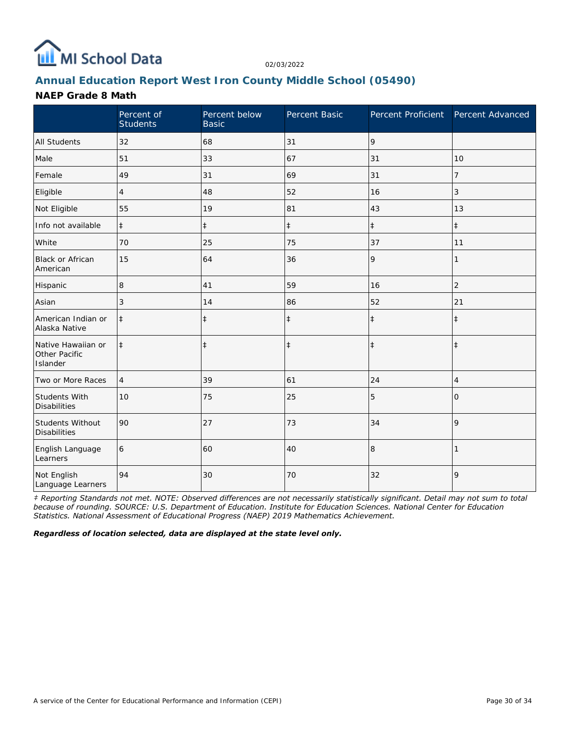

# **Annual Education Report West Iron County Middle School (05490)**

## **NAEP Grade 8 Math**

|                                                 | Percent of<br><b>Students</b> | Percent below<br><b>Basic</b> | Percent Basic |            | Percent Proficient Percent Advanced |
|-------------------------------------------------|-------------------------------|-------------------------------|---------------|------------|-------------------------------------|
| <b>All Students</b>                             | 32                            | 68                            | 31            | 9          |                                     |
| Male                                            | 51                            | 33                            | 67            | 31         | 10                                  |
| Female                                          | 49                            | 31                            | 69            | 31         | 7                                   |
| Eligible                                        | $\overline{4}$                | 48                            | 52            | 16         | 3                                   |
| Not Eligible                                    | 55                            | 19                            | 81            | 43         | 13                                  |
| Info not available                              | $\ddagger$                    | $\ddagger$                    | $\ddagger$    | $\ddagger$ | $\ddagger$                          |
| White                                           | 70                            | 25                            | 75            | 37         | 11                                  |
| Black or African<br>American                    | 15                            | 64                            | 36            | 9          |                                     |
| Hispanic                                        | 8                             | 41                            | 59            | 16         | $\overline{2}$                      |
| Asian                                           | 3                             | 14                            | 86            | 52         | 21                                  |
| American Indian or<br>Alaska Native             | $\ddagger$                    | $\ddagger$                    | $\ddagger$    | $\ddagger$ | $\ddagger$                          |
| Native Hawaiian or<br>Other Pacific<br>Islander | $\ddagger$                    | $\ddagger$                    | $\ddagger$    | $\ddagger$ | $\ddagger$                          |
| Two or More Races                               | $\overline{4}$                | 39                            | 61            | 24         | 4                                   |
| Students With<br><b>Disabilities</b>            | 10                            | 75                            | 25            | 5          | 0                                   |
| <b>Students Without</b><br><b>Disabilities</b>  | 90                            | 27                            | 73            | 34         | 9                                   |
| English Language<br>Learners                    | 6                             | 60                            | 40            | 8          |                                     |
| Not English<br>Language Learners                | 94                            | 30                            | 70            | 32         | 9                                   |

*‡ Reporting Standards not met. NOTE: Observed differences are not necessarily statistically significant. Detail may not sum to total because of rounding. SOURCE: U.S. Department of Education. Institute for Education Sciences. National Center for Education Statistics. National Assessment of Educational Progress (NAEP) 2019 Mathematics Achievement.*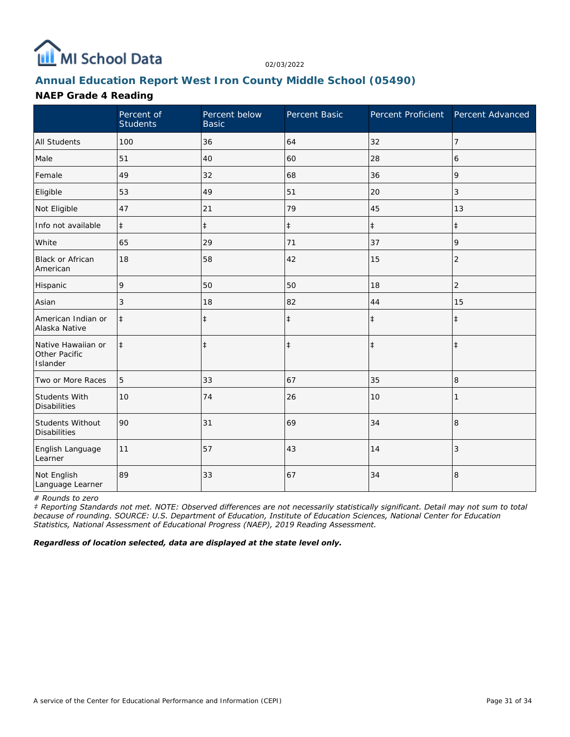

# **Annual Education Report West Iron County Middle School (05490)**

## **NAEP Grade 4 Reading**

|                                                 | Percent of<br><b>Students</b> | Percent below<br><b>Basic</b> | Percent Basic | Percent Proficient | Percent Advanced |
|-------------------------------------------------|-------------------------------|-------------------------------|---------------|--------------------|------------------|
| <b>All Students</b>                             | 100                           | 36                            | 64            | 32                 | 7                |
| Male                                            | 51                            | 40                            | 60            | 28                 | 6                |
| Female                                          | 49                            | 32                            | 68            | 36                 | 9                |
| Eligible                                        | 53                            | 49                            | 51            | 20                 | 3                |
| Not Eligible                                    | 47                            | 21                            | 79            | 45                 | 13               |
| Info not available                              | $\ddagger$                    | $\ddagger$                    | $\ddagger$    | $\ddagger$         | $\ddagger$       |
| White                                           | 65                            | 29                            | 71            | 37                 | 9                |
| Black or African<br>American                    | 18                            | 58                            | 42            | 15                 | $\overline{2}$   |
| Hispanic                                        | 9                             | 50                            | 50            | 18                 | $\overline{c}$   |
| Asian                                           | 3                             | 18                            | 82            | 44                 | 15               |
| American Indian or<br>Alaska Native             | $\ddagger$                    | $\ddagger$                    | $\ddagger$    | $\ddagger$         | $\ddagger$       |
| Native Hawaiian or<br>Other Pacific<br>Islander | $\ddagger$                    | $\ddagger$                    | $\ddagger$    | $\ddagger$         | $\ddagger$       |
| Two or More Races                               | 5                             | 33                            | 67            | 35                 | 8                |
| Students With<br><b>Disabilities</b>            | 10                            | 74                            | 26            | 10                 |                  |
| Students Without<br><b>Disabilities</b>         | 90                            | 31                            | 69            | 34                 | $\,8\,$          |
| English Language<br>Learner                     | 11                            | 57                            | 43            | 14                 | 3                |
| Not English<br>Language Learner                 | 89                            | 33                            | 67            | 34                 | 8                |

*# Rounds to zero*

*‡ Reporting Standards not met. NOTE: Observed differences are not necessarily statistically significant. Detail may not sum to total because of rounding. SOURCE: U.S. Department of Education, Institute of Education Sciences, National Center for Education Statistics, National Assessment of Educational Progress (NAEP), 2019 Reading Assessment.*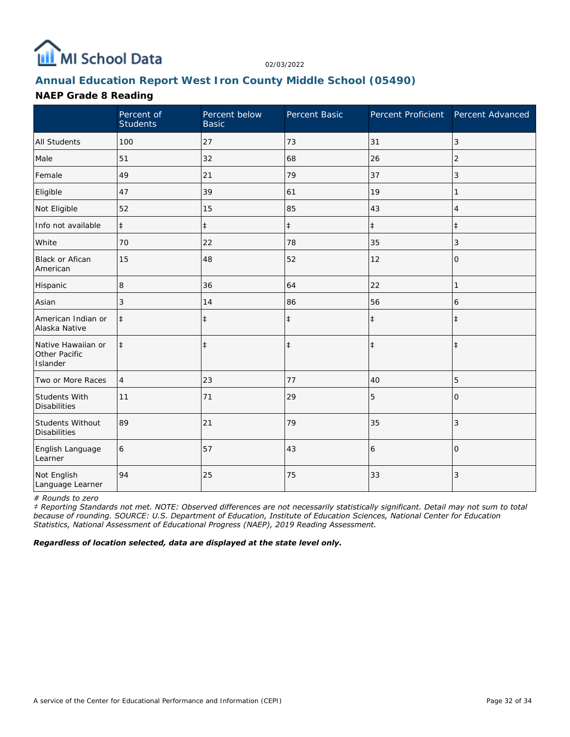

# **Annual Education Report West Iron County Middle School (05490)**

## **NAEP Grade 8 Reading**

|                                                 | Percent of<br><b>Students</b> | Percent below<br><b>Basic</b> | Percent Basic | Percent Proficient | Percent Advanced |
|-------------------------------------------------|-------------------------------|-------------------------------|---------------|--------------------|------------------|
| <b>All Students</b>                             | 100                           | 27                            | 73            | 31                 | 3                |
| Male                                            | 51                            | 32                            | 68            | 26                 | $\overline{2}$   |
| Female                                          | 49                            | 21                            | 79            | 37                 | 3                |
| Eligible                                        | 47                            | 39                            | 61            | 19                 | 1                |
| Not Eligible                                    | 52                            | 15                            | 85            | 43                 | 4                |
| Info not available                              | $\ddagger$                    | $\ddagger$                    | $\ddagger$    | $\ddagger$         | $\pm$            |
| White                                           | 70                            | 22                            | 78            | 35                 | 3                |
| <b>Black or Afican</b><br>American              | 15                            | 48                            | 52            | 12                 | $\mathcal{O}$    |
| Hispanic                                        | 8                             | 36                            | 64            | 22                 | 1                |
| Asian                                           | 3                             | 14                            | 86            | 56                 | 6                |
| American Indian or<br>Alaska Native             | $\ddagger$                    | $\ddagger$                    | $\ddagger$    | $\ddagger$         | $\ddagger$       |
| Native Hawaiian or<br>Other Pacific<br>Islander | $\ddagger$                    | $\ddagger$                    | $\ddagger$    | $\ddagger$         | $\ddagger$       |
| Two or More Races                               | $\overline{4}$                | 23                            | 77            | 40                 | 5                |
| Students With<br><b>Disabilities</b>            | 11                            | 71                            | 29            | 5                  | $\Omega$         |
| Students Without<br><b>Disabilities</b>         | 89                            | 21                            | 79            | 35                 | 3                |
| English Language<br>Learner                     | 6                             | 57                            | 43            | 6                  | $\Omega$         |
| Not English<br>Language Learner                 | 94                            | 25                            | 75            | 33                 | 3                |

*# Rounds to zero*

*‡ Reporting Standards not met. NOTE: Observed differences are not necessarily statistically significant. Detail may not sum to total because of rounding. SOURCE: U.S. Department of Education, Institute of Education Sciences, National Center for Education Statistics, National Assessment of Educational Progress (NAEP), 2019 Reading Assessment.*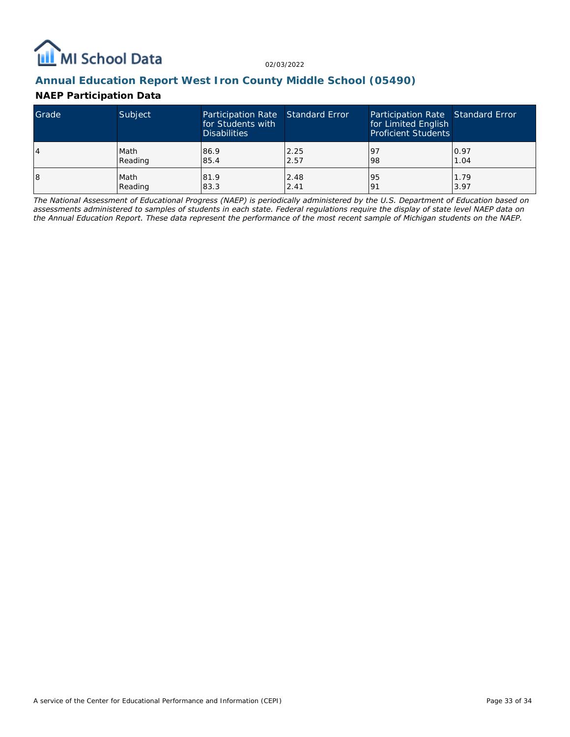

## **Annual Education Report West Iron County Middle School (05490)**

## **NAEP Participation Data**

| Grade | Subject | Participation Rate Standard Error<br>for Students with<br><b>Disabilities</b> |      | Participation Rate Standard Error<br>for Limited English<br><b>Proficient Students</b> |      |
|-------|---------|-------------------------------------------------------------------------------|------|----------------------------------------------------------------------------------------|------|
| 14    | Math    | 86.9                                                                          | 2.25 | 197                                                                                    | 0.97 |
|       | Reading | 85.4                                                                          | 2.57 | 98                                                                                     | 1.04 |
| 18    | Math    | 81.9                                                                          | 2.48 | 95                                                                                     | 1.79 |
|       | Reading | 83.3                                                                          | 2.41 | <u>o</u>                                                                               | 3.97 |

*The National Assessment of Educational Progress (NAEP) is periodically administered by the U.S. Department of Education based on assessments administered to samples of students in each state. Federal regulations require the display of state level NAEP data on the Annual Education Report. These data represent the performance of the most recent sample of Michigan students on the NAEP.*